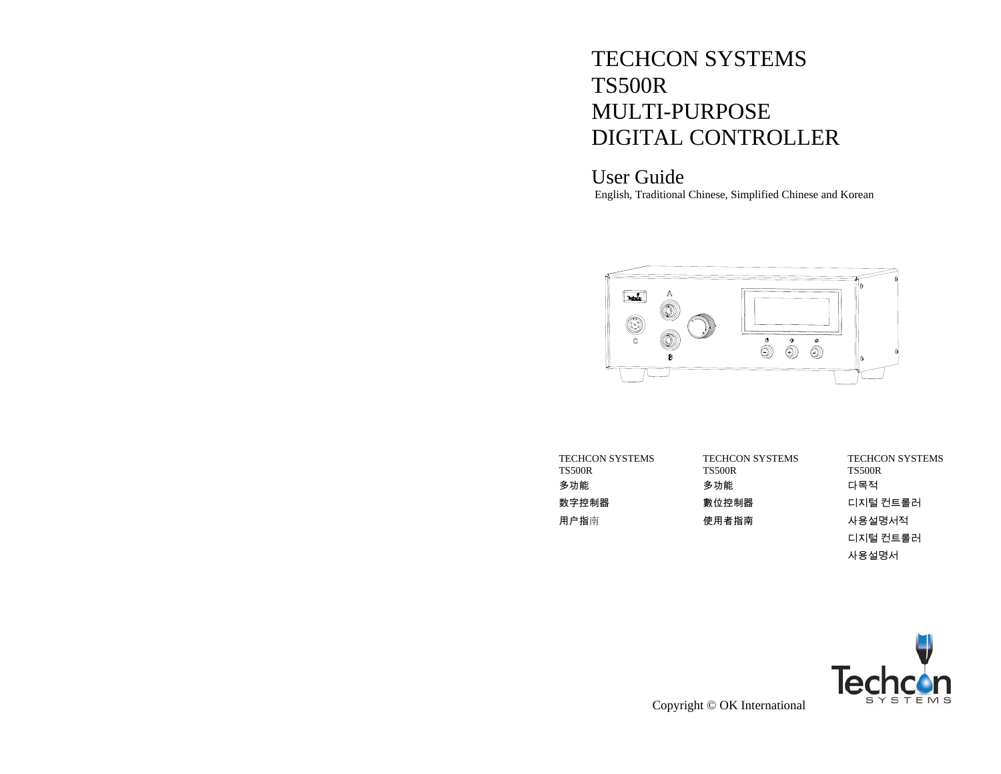# TECHCON SYSTEMS TS500R MULTI-PURPOSE DIGITAL CONTROLLER

User Guide English, Traditional Chinese, Simplified Chinese and Korean



| TECHCON SYSTEMS<br><b>TS500R</b> | TECHCON SYSTEMS<br><b>TS500R</b> | <b>TECHCON SYSTEMS</b><br><b>TS500R</b> |
|----------------------------------|----------------------------------|-----------------------------------------|
| 多功能                              | 多功能                              | 다목적                                     |
| 数字控制器                            | 數位控制器                            | 디지털 컨트롤러                                |
| 用户指南                             | 使用者指南                            | 사용설명서적                                  |
|                                  |                                  | 디지털 컨트롤러                                |
|                                  |                                  | 사용설명서                                   |



Copyright © OK International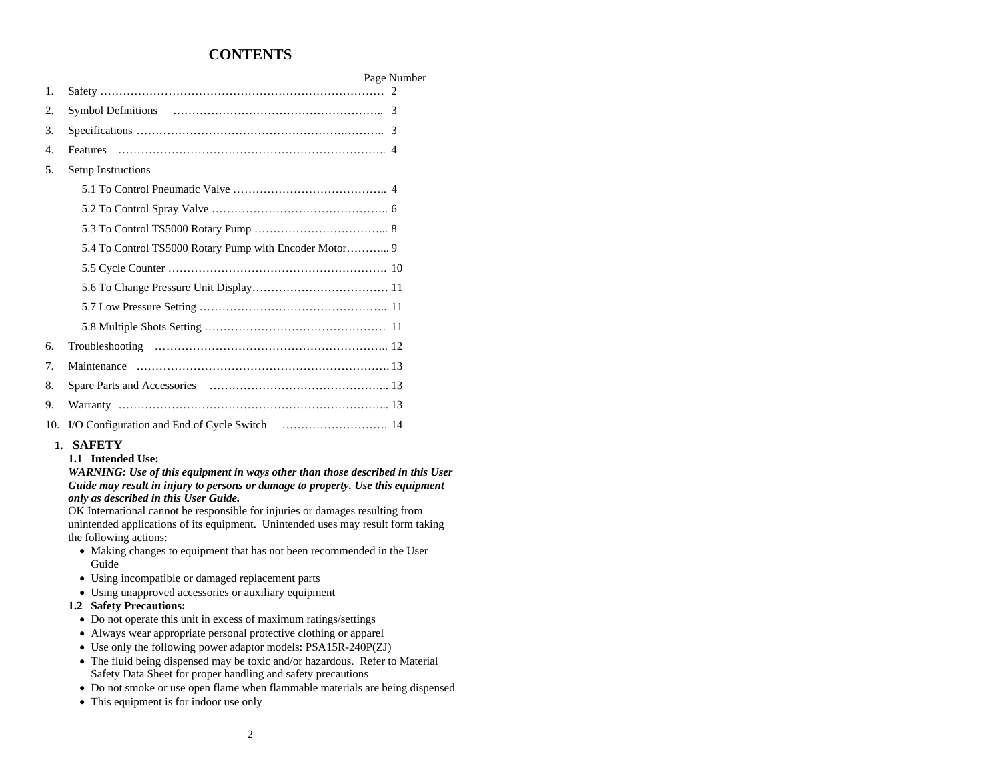# **CONTENTS**

|                  |                    | Page Number |
|------------------|--------------------|-------------|
| 1.               |                    |             |
| 2.               |                    |             |
| 3.               |                    |             |
| $\overline{4}$ . | <b>Features</b>    |             |
| 5.               | Setup Instructions |             |
|                  |                    |             |
|                  |                    |             |
|                  |                    |             |
|                  |                    |             |
|                  |                    |             |
|                  |                    |             |
|                  |                    |             |
|                  |                    |             |
| 6.               |                    |             |
| 7.               |                    |             |
| 8.               |                    |             |
| 9.               |                    |             |
| 10.              |                    |             |

### **1. SAFETY**

**1.1 Intended Use:** 

*WARNING: Use of this equipment in ways other than those described in this User Guide may result in injury to persons or damage to property. Use this equipment only as described in this User Guide.* 

OK International cannot be responsible for injuries or damages resulting from unintended applications of its equipment. Unintended uses may result form taking the following actions:

- Making changes to equipment that has not been recommended in the User Guide
- Using incompatible or damaged replacement parts
- Using unapproved accessories or auxiliary equipment

### **1.2 Safety Precautions:**

- Do not operate this unit in excess of maximum ratings/settings
- Always wear appropriate personal protective clothing or apparel
- Use only the following power adaptor models: PSA15R-240P(ZJ)
- The fluid being dispensed may be toxic and/or hazardous. Refer to Material Safety Data Sheet for proper handling and safety precautions
- Do not smoke or use open flame when flammable materials are being dispensed
- This equipment is for indoor use only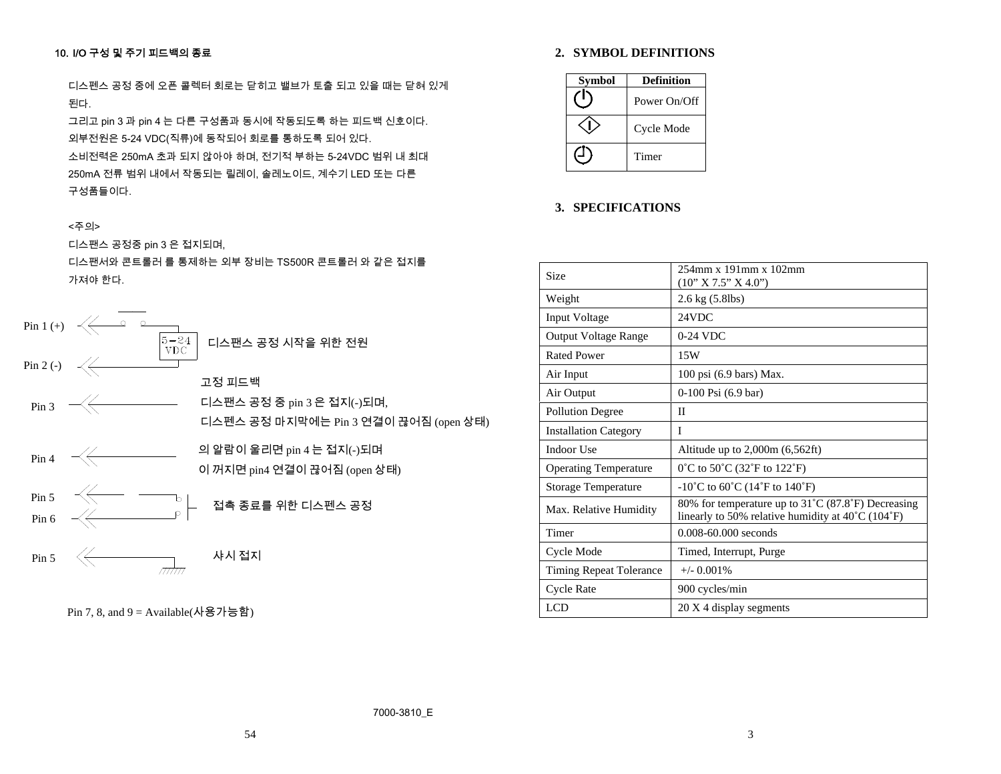# 10. I/O 구성 및 주기 피드백의 종료

디스펜스 공정 중에 오픈 콜렉터 회로는 닫히고 밸브가 토출 되고 있을 때는 닫혀 있게 된다.

그리고 pin 3 과 pin 4 는 다른 구성품과 동시에 작동되도록 하는 피드백 신호이다. 외부전원은 5-24 VDC(직류)에 동작되어 회로를 통하도록 되어 있다.

소비전력은 250mA 초과 되지 않아야 하며, 전기적 부하는 5-24VDC 범위 내 최대 250mA 전류 범위 내에서 작동되는 릴레이, 솔레노이드, 계수기 LED 또는 다른 구성품들이다.

# <주의>

디스팬스 공정중 pin 3 은 접지되며,

디스팬서와 콘트롤러 를 통제하는 외부 장비는 TS500R 콘트롤러 와 같은 접지를 가져야 한다.



Pin 7, 8, and 9 = Available(사용가능함)

# **2. SYMBOL DEFINITIONS**

| <b>Symbol</b> | <b>Definition</b> |
|---------------|-------------------|
|               | Power On/Off      |
|               | Cycle Mode        |
|               | Timer             |

### **3. SPECIFICATIONS**

| Size                           | $254$ mm x 191mm x 102mm<br>(10" X 7.5" X 4.0")                                                                              |
|--------------------------------|------------------------------------------------------------------------------------------------------------------------------|
| Weight                         | 2.6 kg (5.8lbs)                                                                                                              |
| <b>Input Voltage</b>           | 24VDC                                                                                                                        |
| <b>Output Voltage Range</b>    | 0-24 VDC                                                                                                                     |
| <b>Rated Power</b>             | 15W                                                                                                                          |
| Air Input                      | 100 psi (6.9 bars) Max.                                                                                                      |
| Air Output                     | $0-100$ Psi $(6.9$ bar)                                                                                                      |
| <b>Pollution Degree</b>        | П                                                                                                                            |
| <b>Installation Category</b>   | I                                                                                                                            |
| Indoor Use                     | Altitude up to $2,000m$ $(6,562ft)$                                                                                          |
| <b>Operating Temperature</b>   | 0°C to 50°C (32°F to 122°F)                                                                                                  |
| <b>Storage Temperature</b>     | $-10^{\circ}$ C to 60 <sup>°</sup> C (14 <sup>°</sup> F to 140 <sup>°</sup> F)                                               |
| Max. Relative Humidity         | 80% for temperature up to 31°C (87.8°F) Decreasing<br>linearly to 50% relative humidity at $40^{\circ}$ C (104 $^{\circ}$ F) |
| Timer                          | $0.008 - 60.000$ seconds                                                                                                     |
| Cycle Mode                     | Timed, Interrupt, Purge                                                                                                      |
| <b>Timing Repeat Tolerance</b> | $+/-$ 0.001%                                                                                                                 |
| <b>Cycle Rate</b>              | 900 cycles/min                                                                                                               |
| <b>LCD</b>                     | 20 X 4 display segments                                                                                                      |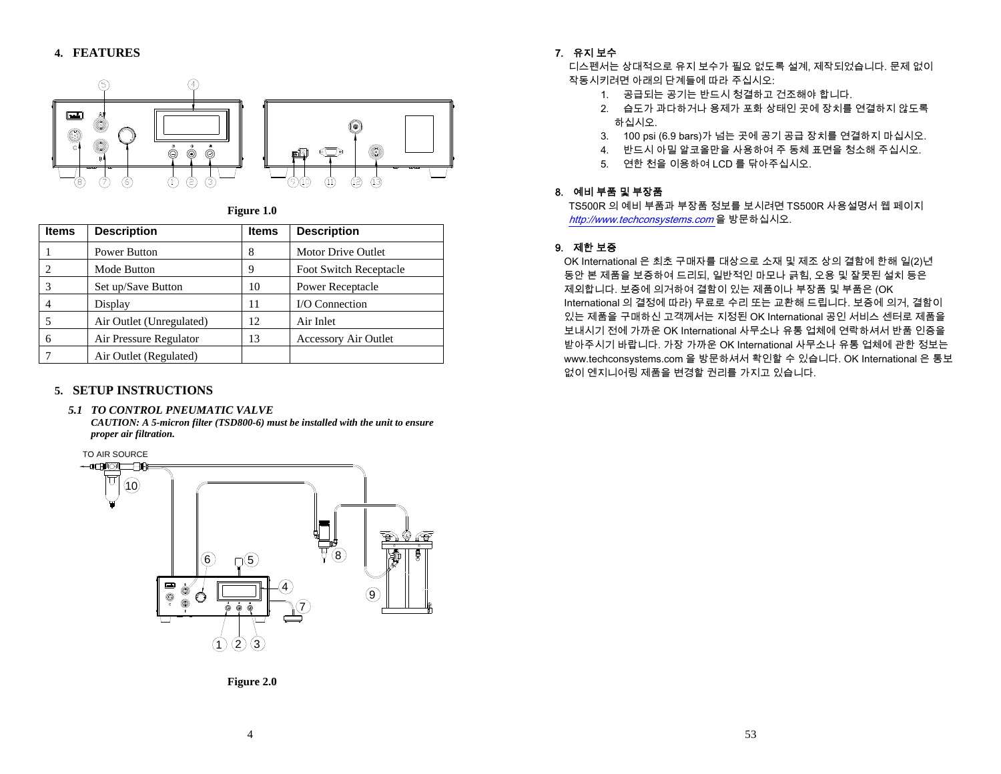

**Figure 1.0**

| <b>Items</b> | <b>Description</b>       | <b>Items</b> | <b>Description</b>          |
|--------------|--------------------------|--------------|-----------------------------|
|              | <b>Power Button</b>      | 8            | <b>Motor Drive Outlet</b>   |
|              | Mode Button              | 9            | Foot Switch Receptacle      |
|              | Set up/Save Button       | 10           | <b>Power Receptacle</b>     |
|              | Display                  | 11           | <b>I/O</b> Connection       |
|              | Air Outlet (Unregulated) | 12           | Air Inlet                   |
| 6            | Air Pressure Regulator   | 13           | <b>Accessory Air Outlet</b> |
|              | Air Outlet (Regulated)   |              |                             |

# **5. SETUP INSTRUCTIONS**

### *5.1 TO CONTROL PNEUMATIC VALVE*

*CAUTION: A 5-micron filter (TSD800-6) must be installed with the unit to ensure proper air filtration.* 



### 7. 유지 보수

디스펜서는 상대적으로 유지 보수가 필요 없도록 설계, 제작되었습니다. 문제 없이 작동시키려면 아래의 단계들에 따라 주십시오:

- 1. 공급되는 공기는 반드시 청결하고 건조해야 합니다.
- 2. 습도가 과다하거나 용제가 포화 상태인 곳에 장치를 연결하지 않도록 하십시오.
- 3. 100 psi (6.9 bars)가 넘는 곳에 공기 공급 장치를 연결하지 마십시오.
- 4. 반드시 아밀 알코올만을 사용하여 주 동체 표면을 청소해 주십시오.
- 5. 연한 천을 이용하여 LCD 를 닦아주십시오.

# 8. 예비 부품 및 부장품

TS500R 의 예비 부품과 부장품 정보를 보시려면 TS500R 사용설명서 웹 페이지 http://www.techconsystems.com 을 방문하십시오.

# 9. 제한 보증

OK International 은 최초 구매자를 대상으로 소재 및 제조 상의 결함에 한해 일(2)년 동안 본 제품을 보증하여 드리되, 일반적인 마모나 긁힘, 오용 및 잘못된 설치 등은 제외합니다. 보증에 의거하여 결함이 있는 제품이나 부장품 및 부품은 (OK International 의 결정에 따라) 무료로 수리 또는 교환해 드립니다. 보증에 의거, 결함이 있는 제품을 구매하신 고객께서는 지정된 OK International 공인 서비스 센터로 제품을 보내시기 전에 가까운 OK International 사무소나 유통 업체에 연락하셔서 반품 인증을 받아주시기 바랍니다. 가장 가까운 OK International 사무소나 유통 업체에 관한 정보는 www.techconsystems.com 을 방문하셔서 확인할 수 있습니다. OK International 은 통보 없이 엔지니어링 제품을 변경할 권리를 가지고 있습니다.

**Figure 2.0**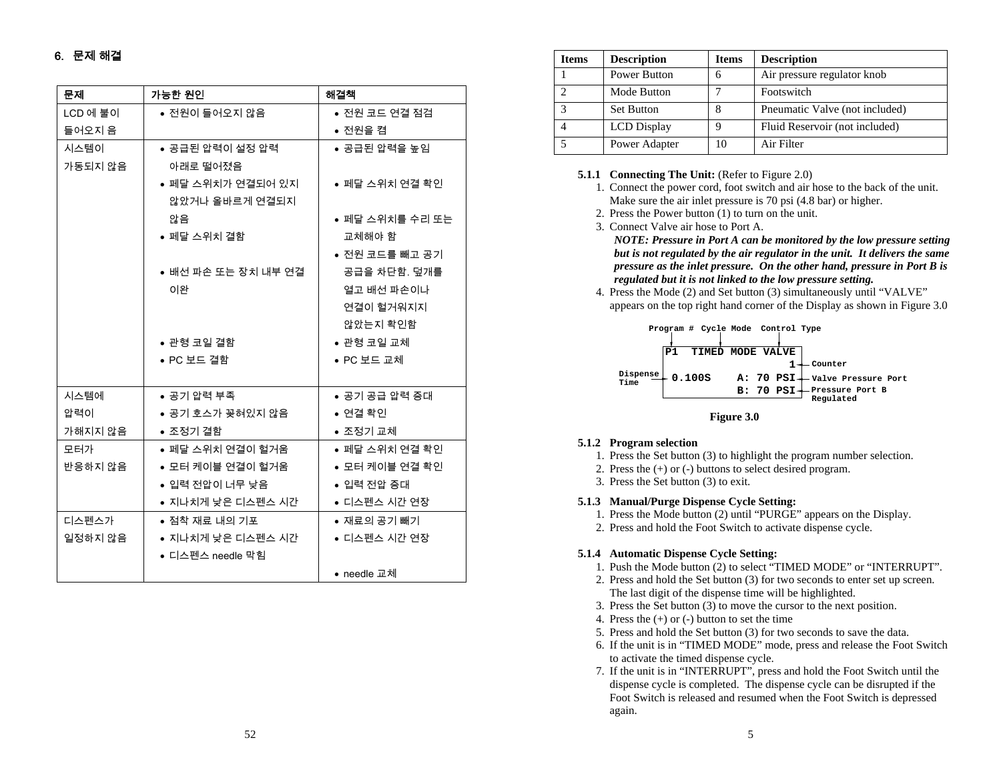# 6. 문제 해결

| 문제       | 가능한 원인              | 해결책             |
|----------|---------------------|-----------------|
| LCD 에 불이 | ● 전원이 들어오지 않음       | ● 전원 코드 연결 점검   |
| 들어오지 음   |                     | ● 전원을 켬         |
| 시스템이     | ● 공급된 압력이 설정 압력     | ● 공급된 압력을 높임    |
| 가동되지 않음  | 아래로 떨어졌음            |                 |
|          | ● 페달 스위치가 연결되어 있지   | ● 페달 스위치 연결 확인  |
|          | 않았거나 올바르게 연결되지      |                 |
|          | 않음                  | ● 페달 스위치를 수리 또는 |
|          | ● 페달 스위치 결함         | 교체해야 함          |
|          |                     | ● 전원 코드를 빼고 공기  |
|          | ● 배선 파손 또는 장치 내부 연결 | 공급을 차단함. 덮개를    |
|          | 이완                  | 열고 배선 파손이나      |
|          |                     | 연결이 헐거워지지       |
|          |                     | 않았는지 확인함        |
|          | ● 관형 코일 결함          | ● 관형 코일 교체      |
|          | ● PC 보드 결함          | ● PC 보드 교체      |
|          |                     |                 |
| 시스템에     | ● 공기 압력 부족          | ● 공기 공급 압력 증대   |
| 압력이      | ● 공기 호스가 꽂혀있지 않음    | ● 연결 확인         |
| 가해지지 않음  | ● 조정기 결함            | ● 조정기 교체        |
| 모터가      | ● 페달 스위치 연결이 헐거움    | ● 페달 스위치 연결 확인  |
| 반응하지 않음  | ● 모터 케이블 연결이 헐거움    | ● 모터 케이블 연결 확인  |
|          | ● 입력 전압이 너무 낮음      | ● 입력 전압 증대      |
|          | ● 지나치게 낮은 디스펜스 시간   | ● 디스펜스 시간 연장    |
| 디스펜스가    | ● 점착 재료 내의 기포       | ● 재료의 공기 빼기     |
| 일정하지 않음  | ● 지나치게 낮은 디스펜스 시간   | ● 디스펜스 시간 연장    |
|          | ● 디스펜스 needle 막힘    |                 |
|          |                     | ● needle 교체     |

| <b>Items</b> | <b>Description</b>  | <b>Items</b> | <b>Description</b>             |
|--------------|---------------------|--------------|--------------------------------|
|              | <b>Power Button</b> | 6            | Air pressure regulator knob    |
|              | Mode Button         |              | Footswitch                     |
|              | <b>Set Button</b>   | 8            | Pneumatic Valve (not included) |
|              | <b>LCD</b> Display  |              | Fluid Reservoir (not included) |
|              | Power Adapter       | 10           | Air Filter                     |

### **5.1.1 Connecting The Unit:** (Refer to Figure 2.0)

- 1. Connect the power cord, foot switch and air hose to the back of the unit. Make sure the air inlet pressure is 70 psi (4.8 bar) or higher.
- 2. Press the Power button (1) to turn on the unit.
- 3. Connect Valve air hose to Port A. *NOTE: Pressure in Port A can be monitored by the low pressure setting but is not regulated by the air regulator in the unit. It delivers the same pressure as the inlet pressure. On the other hand, pressure in Port B is regulated but it is not linked to the low pressure setting.*
- 4. Press the Mode (2) and Set button (3) simultaneously until "VALVE" appears on the top right hand corner of the Display as shown in Figure 3.0





### **5.1.2 Program selection**

- 1. Press the Set button (3) to highlight the program number selection.
- 2. Press the (+) or (-) buttons to select desired program.
- 3. Press the Set button (3) to exit.

### **5.1.3 Manual/Purge Dispense Cycle Setting:**

- 1. Press the Mode button (2) until "PURGE" appears on the Display.
- 2. Press and hold the Foot Switch to activate dispense cycle.

### **5.1.4 Automatic Dispense Cycle Setting:**

- 1. Push the Mode button (2) to select "TIMED MODE" or "INTERRUPT".
- 2. Press and hold the Set button (3) for two seconds to enter set up screen. The last digit of the dispense time will be highlighted.
- 3. Press the Set button (3) to move the cursor to the next position.
- 4. Press the (+) or (-) button to set the time
- 5. Press and hold the Set button (3) for two seconds to save the data.
- 6. If the unit is in "TIMED MODE" mode, press and release the Foot Switch to activate the timed dispense cycle.
- 7. If the unit is in "INTERRUPT", press and hold the Foot Switch until the dispense cycle is completed. The dispense cycle can be disrupted if the Foot Switch is released and resumed when the Foot Switch is depressed again.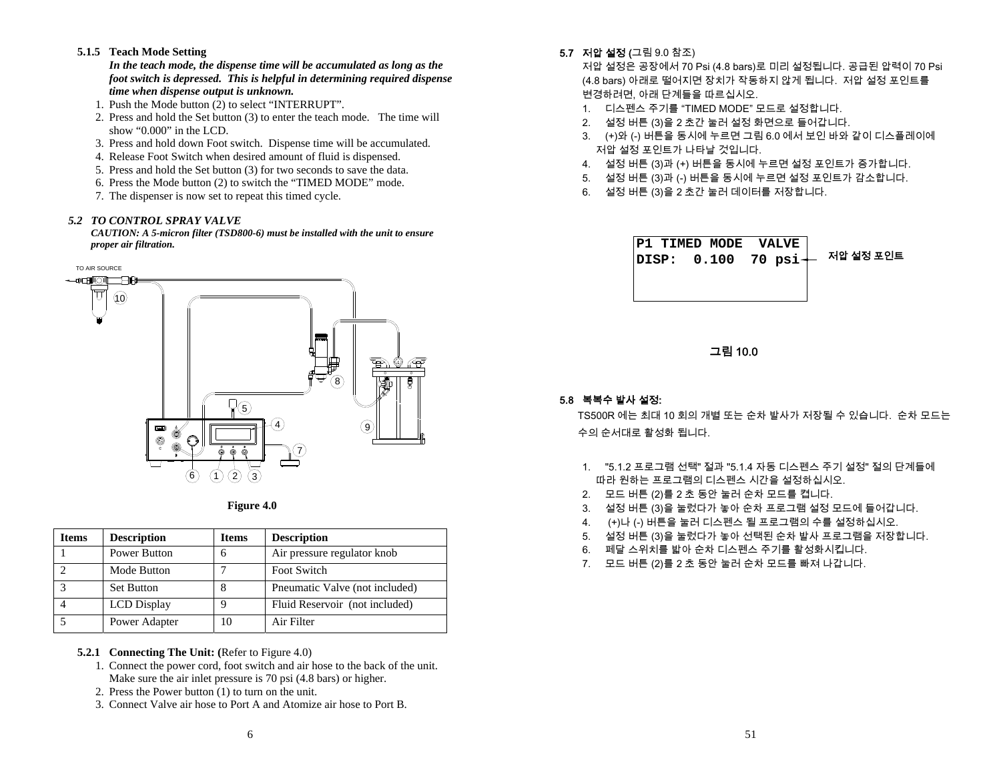# **5.1.5 Teach Mode Setting**

*In the teach mode, the dispense time will be accumulated as long as the foot switch is depressed. This is helpful in determining required dispense time when dispense output is unknown.* 

- 1. Push the Mode button (2) to select "INTERRUPT".
- 2. Press and hold the Set button (3) to enter the teach mode. The time will show "0.000" in the LCD.
- 3. Press and hold down Foot switch. Dispense time will be accumulated.
- 4. Release Foot Switch when desired amount of fluid is dispensed.
- 5. Press and hold the Set button (3) for two seconds to save the data.
- 6. Press the Mode button (2) to switch the "TIMED MODE" mode.
- 7. The dispenser is now set to repeat this timed cycle.

### *5.2 TO CONTROL SPRAY VALVE*

*CAUTION: A 5-micron filter (TSD800-6) must be installed with the unit to ensure proper air filtration.* 





| Items | <b>Description</b> | <b>Items</b> | <b>Description</b>             |
|-------|--------------------|--------------|--------------------------------|
|       | Power Button       | 6            | Air pressure regulator knob    |
|       | Mode Button        |              | Foot Switch                    |
|       | <b>Set Button</b>  | 8            | Pneumatic Valve (not included) |
|       | <b>LCD</b> Display | Q            | Fluid Reservoir (not included) |
|       | Power Adapter      | 10           | Air Filter                     |

# **5.2.1 Connecting The Unit: (**Refer to Figure 4.0)

- 1. Connect the power cord, foot switch and air hose to the back of the unit. Make sure the air inlet pressure is 70 psi (4.8 bars) or higher.
- 2. Press the Power button (1) to turn on the unit.
- 3. Connect Valve air hose to Port A and Atomize air hose to Port B.

**5.7 저압 설정 (**그림 9.0 참조)

저압 설정은 공장에서 70 Psi (4.8 bars)로 미리 설정됩니다. 공급된 압력이 70 Psi (4.8 bars) 아래로 떨어지면 장치가 작동하지 않게 됩니다. 저압 설정 포인트를 변경하려면, 아래 단계들을 따르십시오.

- 1. 디스펜스 주기를 "TIMED MODE" 모드로 설정합니다.
- 2. 설정 버튼 (3)을 2 초간 눌러 설정 화면으로 들어갑니다.
- 3. (+)와 (-) 버튼을 동시에 누르면 그림 6.0 에서 보인 바와 같이 디스플레이에 저압 설정 포인트가 나타날 것입니다.
- 4. 설정 버튼 (3)과 (+) 버튼을 동시에 누르면 설정 포인트가 증가합니다.
- 5. 설정 버튼 (3)과 (-) 버튼을 동시에 누르면 설정 포인트가 감소합니다.
- 6. 설정 버튼 (3)을 2 초간 눌러 데이터를 저장합니다.



그림 10.0

# 5.8 복복수 발사 설정:

TS500R 에는 최대 10 회의 개별 또는 순차 발사가 저장될 수 있습니다. 순차 모드는 수의 순서대로 활성화 됩니다.

- 1. "5.1.2 프로그램 선택" 절과 "5.1.4 자동 디스펜스 주기 설정" 절의 단계들에 따라 원하는 프로그램의 디스펜스 시간을 설정하십시오.
- 2. 모드 버튼 (2)를 2 초 동안 눌러 순차 모드를 켭니다.
- 3. 설정 버튼 (3)을 눌렀다가 놓아 순차 프로그램 설정 모드에 들어갑니다.
- 4. (+)나 (-) 버튼을 눌러 디스펜스 될 프로그램의 수를 설정하십시오.
- 5. 설정 버튼 (3)을 눌렀다가 놓아 선택된 순차 발사 프로그램을 저장합니다.
- 6. 페달 스위치를 밟아 순차 디스펜스 주기를 활성화시킵니다.
- 7. 모드 버튼 (2)를 2 초 동안 눌러 순차 모드를 빠져 나갑니다.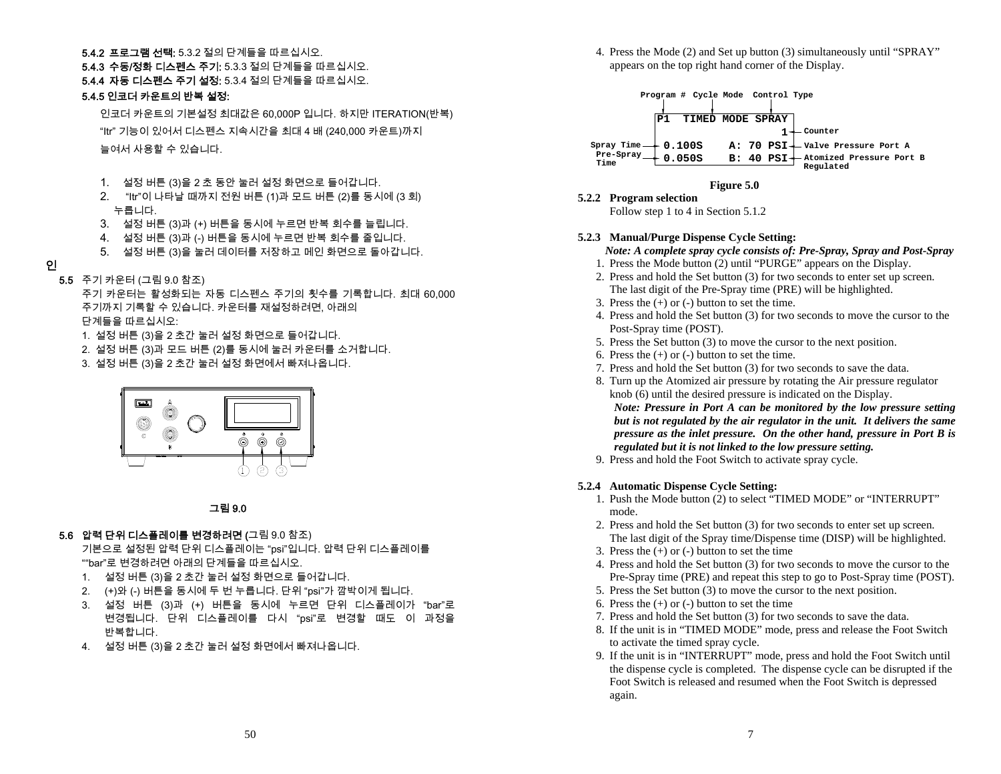### **5.4.2 프로그램 선택:** 5.3.2 절의 단계들을 따르십시오.

**5.4.3 수동/정화 디스펜스 주기:** 5.3.3 절의 단계들을 따르십시오.

5.4.4 자동 디스펜스 주기 설정: 5.3.4 절의 단계들을 따르십시오.

# 5.4.5 인코더 카운트의 반복 설정:

인코더 카운트의 기본설정 최대값은 60,000P 입니다. 하지만 ITERATION(반복) "Itr" 기능이 있어서 디스펜스 지속시간을 최대 4 배 (240,000 카운트)까지 늘여서 사용할 수 있습니다.

- 1. 설정 버튼 (3)을 2 초 동안 눌러 설정 화면으로 들어갑니다.
- 2. "Itr"이 나타날 때까지 전원 버튼 (1)과 모드 버튼 (2)를 동시에 (3 회) 누릅니다.
- 3. 설정 버튼 (3)과 (+) 버튼을 동시에 누르면 반복 회수를 늘립니다.
- 4. 설정 버튼 (3)과 (-) 버튼을 동시에 누르면 반복 회수를 줄입니다.
- 5. 설정 버튼 (3)을 눌러 데이터를 저장하고 메인 화면으로 돌아갑니다.

# 인

5.5 주기 카운터 (그림 9.0 참조)

주기 카운터는 활성화되는 자동 디스펜스 주기의 횟수를 기록합니다. 최대 60,000 주기까지 기록할 수 있습니다. 카운터를 재설정하려면, 아래의 단계들을 따르십시오:

- 1. 설정 버튼 (3)을 2 초간 눌러 설정 화면으로 들어갑니다.
- 2. 설정 버튼 (3)과 모드 버튼 (2)를 동시에 눌러 카운터를 소거합니다.
- 3. 설정 버튼 (3)을 2 초간 눌러 설정 화면에서 빠져나옵니다.



# 그림 9.0

# 5.6 압력 단위 디스플레이를 변경하려면 (그림 9.0 참조)

기본으로 설정된 압력 단위 디스플레이는 "psi"입니다. 압력 단위 디스플레이를 ""bar"로 변경하려면 아래의 단계들을 따르십시오.

- 1. 설정 버튼 (3)을 2 초간 눌러 설정 화면으로 들어갑니다.
- 2. (+)와 (-) 버튼을 동시에 두 번 누릅니다. 단위 "psi"가 깜박이게 됩니다.
- 3. 설정 버튼 (3)과 (+) 버튼을 동시에 누르면 단위 디스플레이가 "bar"로 변경됩니다. 단위 디스플레이를 다시 "psi"로 변경할 때도 이 과정을 반복합니다.
- 4. 설정 버튼 (3)을 2 초간 눌러 설정 화면에서 빠져나옵니다.

4. Press the Mode (2) and Set up button (3) simultaneously until "SPRAY" appears on the top right hand corner of the Display.



# **Figure 5.0**

**5.2.2 Program selection** 

Follow step 1 to 4 in Section 5.1.2

# **5.2.3 Manual/Purge Dispense Cycle Setting:**

*Note: A complete spray cycle consists of: Pre-Spray, Spray and Post-Spray* 

- 1. Press the Mode button (2) until "PURGE" appears on the Display.
- 2. Press and hold the Set button (3) for two seconds to enter set up screen. The last digit of the Pre-Spray time (PRE) will be highlighted.
- 3. Press the (+) or (-) button to set the time.
- 4. Press and hold the Set button (3) for two seconds to move the cursor to the Post-Spray time (POST).
- 5. Press the Set button (3) to move the cursor to the next position.
- 6. Press the  $(+)$  or  $(-)$  button to set the time.
- 7. Press and hold the Set button (3) for two seconds to save the data.
- 8. Turn up the Atomized air pressure by rotating the Air pressure regulator knob (6) until the desired pressure is indicated on the Display.

*Note: Pressure in Port A can be monitored by the low pressure setting but is not regulated by the air regulator in the unit. It delivers the same pressure as the inlet pressure. On the other hand, pressure in Port B is regulated but it is not linked to the low pressure setting.* 

9. Press and hold the Foot Switch to activate spray cycle.

# **5.2.4 Automatic Dispense Cycle Setting:**

- 1. Push the Mode button (2) to select "TIMED MODE" or "INTERRUPT" mode.
- 2. Press and hold the Set button (3) for two seconds to enter set up screen. The last digit of the Spray time/Dispense time (DISP) will be highlighted.
- 3. Press the (+) or (-) button to set the time
- 4. Press and hold the Set button (3) for two seconds to move the cursor to the Pre-Spray time (PRE) and repeat this step to go to Post-Spray time (POST).
- 5. Press the Set button (3) to move the cursor to the next position.
- 6. Press the (+) or (-) button to set the time
- 7. Press and hold the Set button (3) for two seconds to save the data.
- 8. If the unit is in "TIMED MODE" mode, press and release the Foot Switch to activate the timed spray cycle.
- 9. If the unit is in "INTERRUPT" mode, press and hold the Foot Switch until the dispense cycle is completed. The dispense cycle can be disrupted if the Foot Switch is released and resumed when the Foot Switch is depressed again.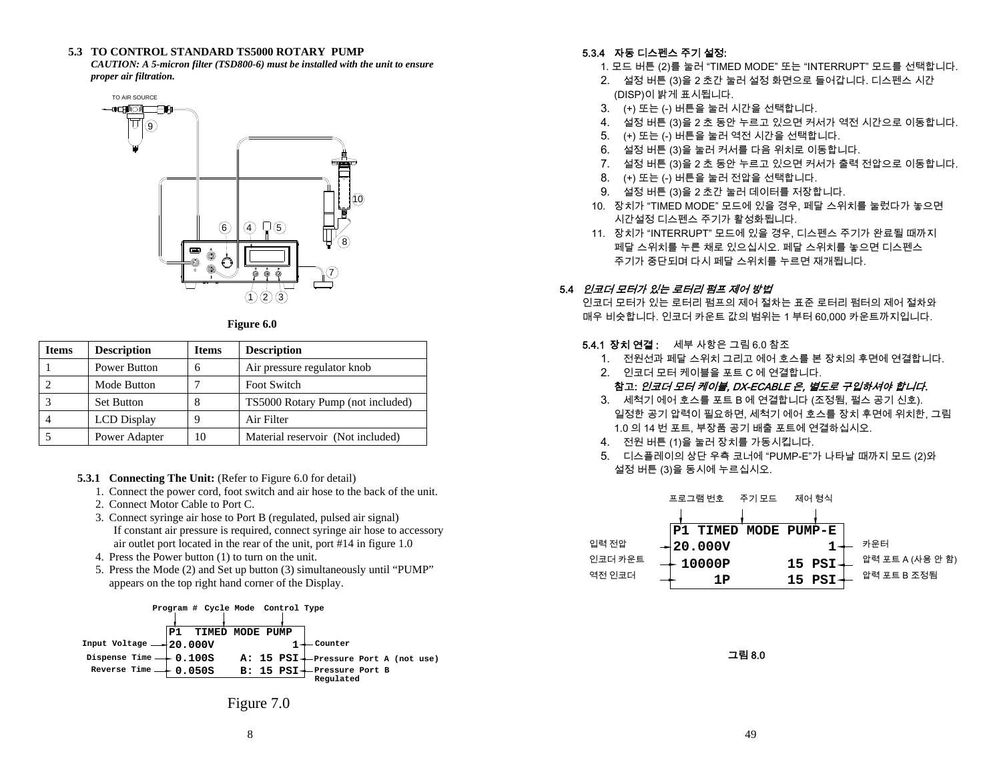### **5.3 TO CONTROL STANDARD TS5000 ROTARY PUMP**

*CAUTION: A 5-micron filter (TSD800-6) must be installed with the unit to ensure proper air filtration.* 



**Figure 6.0** 

| <b>Items</b> | <b>Description</b> | <b>Items</b>  | <b>Description</b>                |
|--------------|--------------------|---------------|-----------------------------------|
|              | Power Button       | 6             | Air pressure regulator knob       |
|              | Mode Button        | ┑             | Foot Switch                       |
|              | <b>Set Button</b>  | 8             | TS5000 Rotary Pump (not included) |
| 4            | <b>LCD</b> Display | 9             | Air Filter                        |
|              | Power Adapter      | $\mathbf{10}$ | Material reservoir (Not included) |

- **5.3.1 Connecting The Unit:** (Refer to Figure 6.0 for detail)
	- 1. Connect the power cord, foot switch and air hose to the back of the unit.
	- 2. Connect Motor Cable to Port C.
	- 3. Connect syringe air hose to Port B (regulated, pulsed air signal) If constant air pressure is required, connect syringe air hose to accessory air outlet port located in the rear of the unit, port #14 in figure 1.0
	- 4. Press the Power button (1) to turn on the unit.
	- 5. Press the Mode (2) and Set up button (3) simultaneously until "PUMP" appears on the top right hand corner of the Display.



# 5.3.4 자동 디스펜스 주기 설정:

- 1. 모드 버튼 (2)를 눌러 "TIMED MODE" 또는 "INTERRUPT" 모드를 선택합니다.
- 2. 설정 버튼 (3)을 2 초간 눌러 설정 화면으로 들어갑니다. 디스펜스 시간 (DISP)이 밝게 표시됩니다.
- 3. (+) 또는 (-) 버튼을 눌러 시간을 선택합니다.
- 4. 설정 버튼 (3)을 2 초 동안 누르고 있으면 커서가 역전 시간으로 이동합니다.
- 5. (+) 또는 (-) 버튼을 눌러 역전 시간을 선택합니다.
- 6. 설정 버튼 (3)을 눌러 커서를 다음 위치로 이동합니다.
- 7. 설정 버튼 (3)을 2 초 동안 누르고 있으면 커서가 출력 전압으로 이동합니다.
- 8. (+) 또는 (-) 버튼을 눌러 전압을 선택합니다.
- 9. 설정 버튼 (3)을 2 초간 눌러 데이터를 저장합니다.
- 10. 장치가 "TIMED MODE" 모드에 있을 경우, 페달 스위치를 눌렀다가 놓으면 시간설정 디스펜스 주기가 활성화됩니다.
- 11. 장치가 "INTERRUPT" 모드에 있을 경우, 디스펜스 주기가 완료될 때까지 페달 스위치를 누른 채로 있으십시오. 페달 스위치를 놓으면 디스펜스 주기가 중단되며 다시 페달 스위치를 누르면 재개됩니다.

# 5.4 인코더 모터가 있는 로터리 펌프 제어 방법

인코더 모터가 있는 로터리 펌프의 제어 절차는 표준 로터리 펌터의 제어 절차와 매우 비슷합니다. 인코더 카운트 값의 범위는 1 부터 60,000 카운트까지입니다.

# **5.4.1 장치 연결 :**  세부 사항은 그림 6.0 참조

- 1. 전원선과 페달 스위치 그리고 에어 호스를 본 장치의 후면에 연결합니다.
- 2. 인코더 모터 케이블을 포트 C 에 연결합니다.

# 참고: 인코더 모터 케이블, DX-ECABLE 은, 별도로 구입하셔야 합니다.

- 3. 세척기 에어 호스를 포트 B 에 연결합니다 (조정됨, 펄스 공기 신호). 일정한 공기 압력이 필요하면, 세척기 에어 호스를 장치 후면에 위치한, 그림 1.0 의 14 번 포트, 부장품 공기 배출 포트에 연결하십시오.
- 4. 전원 버튼 (1)을 눌러 장치를 가동시킵니다.
- 5. 디스플레이의 상단 우측 코너에 "PUMP-E"가 나타날 때까지 모드 (2)와 설정 버튼 (3)을 동시에 누르십시오.



그림 8.0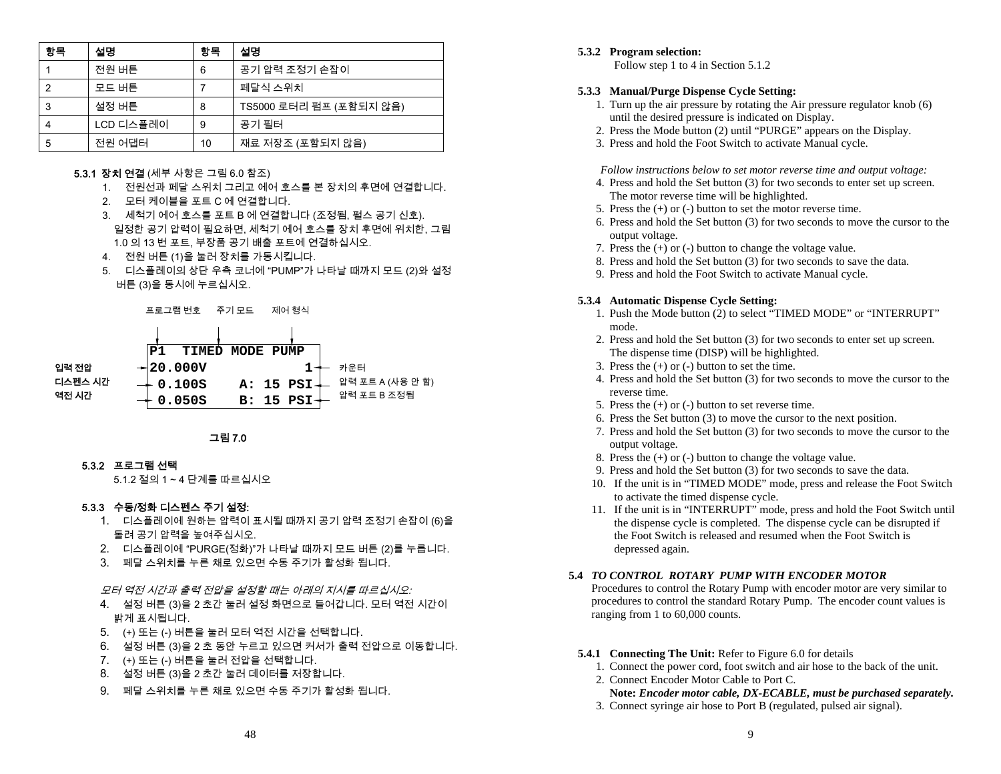| 항목 | 설명        | 항목 | 설명                      |
|----|-----------|----|-------------------------|
|    | 전원 버튼     | 6  | 공기 압력 조정기 손잡이           |
| 2  | 모드 버튼     |    | 페달식 스위치                 |
| 3  | 설정 버튼     | 8  | TS5000 로터리 펌프 (포함되지 않음) |
|    | LCD 디스플레이 | 9  | 공기 필터                   |
| 5  | 전원 어댑터    | 10 | 재료 저장조 (포함되지 않음)        |

### **5.3.1 장치 연결** (세부 사항은 그림 6.0 참조)

- 1. 전원선과 페달 스위치 그리고 에어 호스를 본 장치의 후면에 연결합니다.
- 2. 모터 케이블을 포트 C 에 연결합니다.
- 3. 세척기 에어 호스를 포트 B 에 연결합니다 (조정됨, 펄스 공기 신호). 일정한 공기 압력이 필요하면, 세척기 에어 호스를 장치 후면에 위치한, 그림 1.0 의 13 번 포트, 부장품 공기 배출 포트에 연결하십시오.
- 4. 전원 버튼 (1)을 눌러 장치를 가동시킵니다.
- 5. 디스플레이의 상단 우측 코너에 "PUMP"가 나타날 때까지 모드 (2)와 설정 버튼 (3)을 동시에 누르십시오.





### 5.3.2 프로그램 선택

5.1.2 절의 1 ~ 4 단계를 따르십시오

### 5.3.3 수동/정화 디스펜스 주기 설정:

- 1. 디스플레이에 원하는 압력이 표시될 때까지 공기 압력 조정기 손잡이 (6)을 돌려 공기 압력을 높여주십시오.
- 2. 디스플레이에 "PURGE(정화)"가 나타날 때까지 모드 버튼 (2)를 누릅니다.
- 3. 페달 스위치를 누른 채로 있으면 수동 주기가 활성화 됩니다.

모터 역전 시간과 출력 전압을 설정할 때는 아래의 지시를 따르십시오:

- 4. 설정 버튼 (3)을 2 초간 눌러 설정 화면으로 들어갑니다. 모터 역전 시간이 밝게 표시됩니다.
- 5. (+) 또는 (-) 버튼을 눌러 모터 역전 시간을 선택합니다.
- 6. 설정 버튼 (3)을 2 초 동안 누르고 있으면 커서가 출력 전압으로 이동합니다.
- 7. (+) 또는 (-) 버튼을 눌러 전압을 선택합니다.
- 8. 설정 버튼 (3)을 2 초간 눌러 데이터를 저장합니다.
- 9. 페달 스위치를 누른 채로 있으면 수동 주기가 활성화 됩니다.

### **5.3.2 Program selection:**

Follow step 1 to 4 in Section 5.1.2

### **5.3.3 Manual/Purge Dispense Cycle Setting:**

- 1. Turn up the air pressure by rotating the Air pressure regulator knob (6) until the desired pressure is indicated on Display.
- 2. Press the Mode button (2) until "PURGE" appears on the Display.
- 3. Press and hold the Foot Switch to activate Manual cycle.

*Follow instructions below to set motor reverse time and output voltage:* 

- 4. Press and hold the Set button (3) for two seconds to enter set up screen. The motor reverse time will be highlighted.
- 5. Press the (+) or (-) button to set the motor reverse time.
- 6. Press and hold the Set button (3) for two seconds to move the cursor to the output voltage.
- 7. Press the (+) or (-) button to change the voltage value.
- 8. Press and hold the Set button (3) for two seconds to save the data.
- 9. Press and hold the Foot Switch to activate Manual cycle.

### **5.3.4 Automatic Dispense Cycle Setting:**

- 1. Push the Mode button (2) to select "TIMED MODE" or "INTERRUPT" mode.
- 2. Press and hold the Set button (3) for two seconds to enter set up screen. The dispense time (DISP) will be highlighted.
- 3. Press the (+) or (-) button to set the time.
- 4. Press and hold the Set button (3) for two seconds to move the cursor to the reverse time.
- 5. Press the (+) or (-) button to set reverse time.
- 6. Press the Set button (3) to move the cursor to the next position.
- 7. Press and hold the Set button (3) for two seconds to move the cursor to the output voltage.
- 8. Press the (+) or (-) button to change the voltage value.
- 9. Press and hold the Set button (3) for two seconds to save the data.
- 10. If the unit is in "TIMED MODE" mode, press and release the Foot Switch to activate the timed dispense cycle.
- 11. If the unit is in "INTERRUPT" mode, press and hold the Foot Switch until the dispense cycle is completed. The dispense cycle can be disrupted if the Foot Switch is released and resumed when the Foot Switch is depressed again.

### **5.4** *TO CONTROL ROTARY PUMP WITH ENCODER MOTOR*

Procedures to control the Rotary Pump with encoder motor are very similar to procedures to control the standard Rotary Pump. The encoder count values is ranging from 1 to 60,000 counts.

- **5.4.1 Connecting The Unit:** Refer to Figure 6.0 for details
	- 1. Connect the power cord, foot switch and air hose to the back of the unit.
	- 2. Connect Encoder Motor Cable to Port C.
	- **Note:** *Encoder motor cable, DX-ECABLE, must be purchased separately.*
	- 3. Connect syringe air hose to Port B (regulated, pulsed air signal).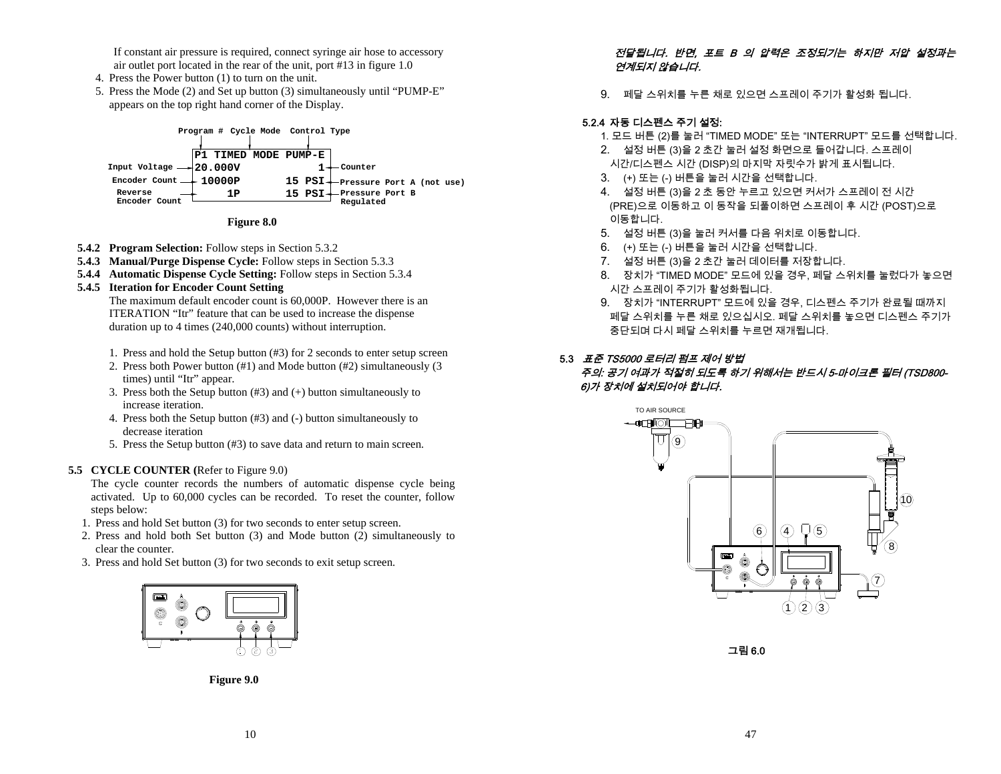If constant air pressure is required, connect syringe air hose to accessory air outlet port located in the rear of the unit, port #13 in figure 1.0

- 4. Press the Power button (1) to turn on the unit.
- 5. Press the Mode (2) and Set up button (3) simultaneously until "PUMP-E" appears on the top right hand corner of the Display.





- **5.4.2 Program Selection:** Follow steps in Section 5.3.2
- **5.4.3 Manual/Purge Dispense Cycle:** Follow steps in Section 5.3.3
- **5.4.4 Automatic Dispense Cycle Setting:** Follow steps in Section 5.3.4

# **5.4.5 Iteration for Encoder Count Setting**

The maximum default encoder count is 60,000P. However there is an ITERATION "Itr" feature that can be used to increase the dispense duration up to 4 times (240,000 counts) without interruption.

- 1. Press and hold the Setup button (#3) for 2 seconds to enter setup screen
- 2. Press both Power button (#1) and Mode button (#2) simultaneously (3 times) until "Itr" appear.
- 3. Press both the Setup button (#3) and (+) button simultaneously to increase iteration.
- 4. Press both the Setup button (#3) and (-) button simultaneously to decrease iteration
- 5. Press the Setup button (#3) to save data and return to main screen.

# **5.5 CYCLE COUNTER (**Refer to Figure 9.0)

The cycle counter records the numbers of automatic dispense cycle being activated. Up to 60,000 cycles can be recorded. To reset the counter, follow steps below:

- 1. Press and hold Set button (3) for two seconds to enter setup screen.
- 2. Press and hold both Set button (3) and Mode button (2) simultaneously to clear the counter.
- 3. Press and hold Set button (3) for two seconds to exit setup screen.



**Figure 9.0** 

# 전달됩니다. 반면, 포트 B 의 압력은 조정되기는 하지만 저압 설정과는 연계되지 않습니다.

9. 페달 스위치를 누른 채로 있으면 스프레이 주기가 활성화 됩니다.

# 5.2.4 자동 디스펜스 주기 설정:

- 1. 모드 버튼 (2)를 눌러 "TIMED MODE" 또는 "INTERRUPT" 모드를 선택합니다.
- 2. 설정 버튼 (3)을 2 초간 눌러 설정 화면으로 들어갑니다. 스프레이 시간/디스펜스 시간 (DISP)의 마지막 자릿수가 밝게 표시됩니다.
- 3. (+) 또는 (-) 버튼을 눌러 시간을 선택합니다.
- 4. 설정 버튼 (3)을 2 초 동안 누르고 있으면 커서가 스프레이 전 시간 (PRE)으로 이동하고 이 동작을 되풀이하면 스프레이 후 시간 (POST)으로 이동합니다.
- 5. 설정 버튼 (3)을 눌러 커서를 다음 위치로 이동합니다.
- 6. (+) 또는 (-) 버튼을 눌러 시간을 선택합니다.
- 7. 설정 버튼 (3)을 2 초간 눌러 데이터를 저장합니다.
- 8. 장치가 "TIMED MODE" 모드에 있을 경우, 페달 스위치를 눌렀다가 놓으면 시간 스프레이 주기가 활성화됩니다.
- 9. 장치가 "INTERRUPT" 모드에 있을 경우, 디스펜스 주기가 완료될 때까지 페달 스위치를 누른 채로 있으십시오. 페달 스위치를 놓으면 디스펜스 주기가 중단되며 다시 페달 스위치를 누르면 재개됩니다.

# 5.3 *표준 TS5000 로터리 펌프 제어 방법*

# 주의: 공기 여과가 적절히 되도록 하기 위해서는 반드시 5-마이크론 필터 (TSD800- 6)가 장치에 설치되어야 합니다.



그림 6.0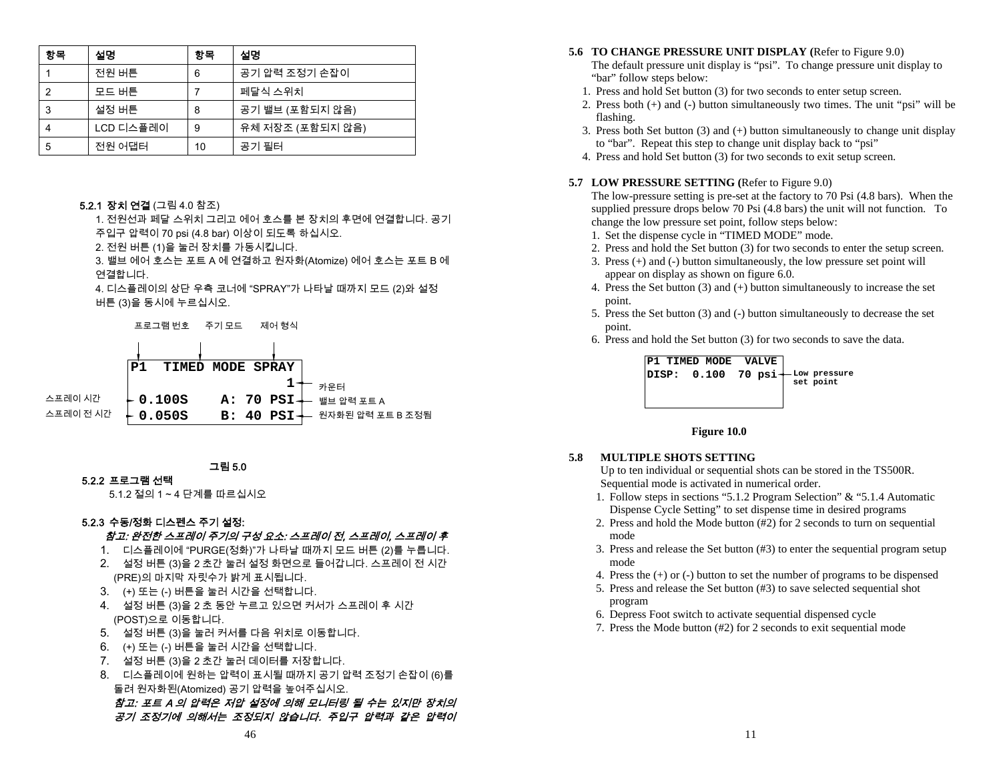| 항목 | 설명        | 항목 | 설명               |
|----|-----------|----|------------------|
|    | 전원 버튼     | 6  | 공기 압력 조정기 손잡이    |
| 2  | 모드 버튼     |    | 페달식 스위치          |
| 3  | 설정 버튼     | 8  | 공기 밸브 (포함되지 않음)  |
| 4  | LCD 디스플레이 | 9  | 유체 저장조 (포함되지 않음) |
| 5  | 전원 어댑터    | 10 | 공기 필터            |

### **5.2.1 장치 연결** (그림 4.0 참조)

1. 전원선과 페달 스위치 그리고 에어 호스를 본 장치의 후면에 연결합니다. 공기 주입구 압력이 70 psi (4.8 bar) 이상이 되도록 하십시오.

2. 전원 버튼 (1)을 눌러 장치를 가동시킵니다.

3. 밸브 에어 호스는 포트 A 에 연결하고 원자화(Atomize) 에어 호스는 포트 B 에 연결합니다.

4. 디스플레이의 상단 우측 코너에 "SPRAY"가 나타날 때까지 모드 (2)와 설정 버튼 (3)을 동시에 누르십시오.



그림 5.0

### 5.2.2 프로그램 선택

5.1.2 절의 1 ~ 4 단계를 따르십시오

### 5.2.3 수동/정화 디스펜스 주기 설정:

### 참고: 완전한 스프레이 주기의 구성 요소: 스프레이 전, 스프레이, 스프레이 후

- 1. 디스플레이에 "PURGE(정화)"가 나타날 때까지 모드 버튼 (2)를 누릅니다.
- 2. 설정 버튼 (3)을 2 초간 눌러 설정 화면으로 들어갑니다. 스프레이 전 시간 (PRE)의 마지막 자릿수가 밝게 표시됩니다.
- 3. (+) 또는 (-) 버튼을 눌러 시간을 선택합니다.
- 4. 설정 버튼 (3)을 2 초 동안 누르고 있으면 커서가 스프레이 후 시간 (POST)으로 이동합니다.
- 5. 설정 버튼 (3)을 눌러 커서를 다음 위치로 이동합니다.
- 6. (+) 또는 (-) 버튼을 눌러 시간을 선택합니다.
- 7. 설정 버튼 (3)을 2 초간 눌러 데이터를 저장합니다.
- 8. 디스플레이에 원하는 압력이 표시될 때까지 공기 압력 조정기 손잡이 (6)를 돌려 원자화된(Atomized) 공기 압력을 높여주십시오. 참고: 포트 A 의 압력은 저압 설정에 의해 모니터링 될 수는 있지만 장치의

공기 조정기에 의해서는 조정되지 않습니다. 주입구 압력과 같은 압력이

#### **5.6 TO CHANGE PRESSURE UNIT DISPLAY (**Refer to Figure 9.0)

- The default pressure unit display is "psi". To change pressure unit display to "bar" follow steps below:
- 1. Press and hold Set button (3) for two seconds to enter setup screen.
- 2. Press both (+) and (-) button simultaneously two times. The unit "psi" will be flashing.
- 3. Press both Set button (3) and (+) button simultaneously to change unit display to "bar". Repeat this step to change unit display back to "psi"
- 4. Press and hold Set button (3) for two seconds to exit setup screen.

### **5.7 LOW PRESSURE SETTING (**Refer to Figure 9.0)

The low-pressure setting is pre-set at the factory to 70 Psi (4.8 bars). When the supplied pressure drops below 70 Psi (4.8 bars) the unit will not function. To change the low pressure set point, follow steps below:

- 1. Set the dispense cycle in "TIMED MODE" mode.
- 2. Press and hold the Set button (3) for two seconds to enter the setup screen.
- 3. Press (+) and (-) button simultaneously, the low pressure set point will appear on display as shown on figure 6.0.
- 4. Press the Set button (3) and (+) button simultaneously to increase the set point.
- 5. Press the Set button (3) and (-) button simultaneously to decrease the set point.
- 6. Press and hold the Set button (3) for two seconds to save the data.



### **Figure 10.0**

#### **5.8MULTIPLE SHOTS SETTING**

Up to ten individual or sequential shots can be stored in the TS500R. Sequential mode is activated in numerical order.

- 1. Follow steps in sections "5.1.2 Program Selection" & "5.1.4 Automatic Dispense Cycle Setting" to set dispense time in desired programs
- 2. Press and hold the Mode button (#2) for 2 seconds to turn on sequential mode
- 3. Press and release the Set button (#3) to enter the sequential program setup mode
- 4. Press the (+) or (-) button to set the number of programs to be dispensed
- 5. Press and release the Set button (#3) to save selected sequential shot program
- 6. Depress Foot switch to activate sequential dispensed cycle
- 7. Press the Mode button (#2) for 2 seconds to exit sequential mode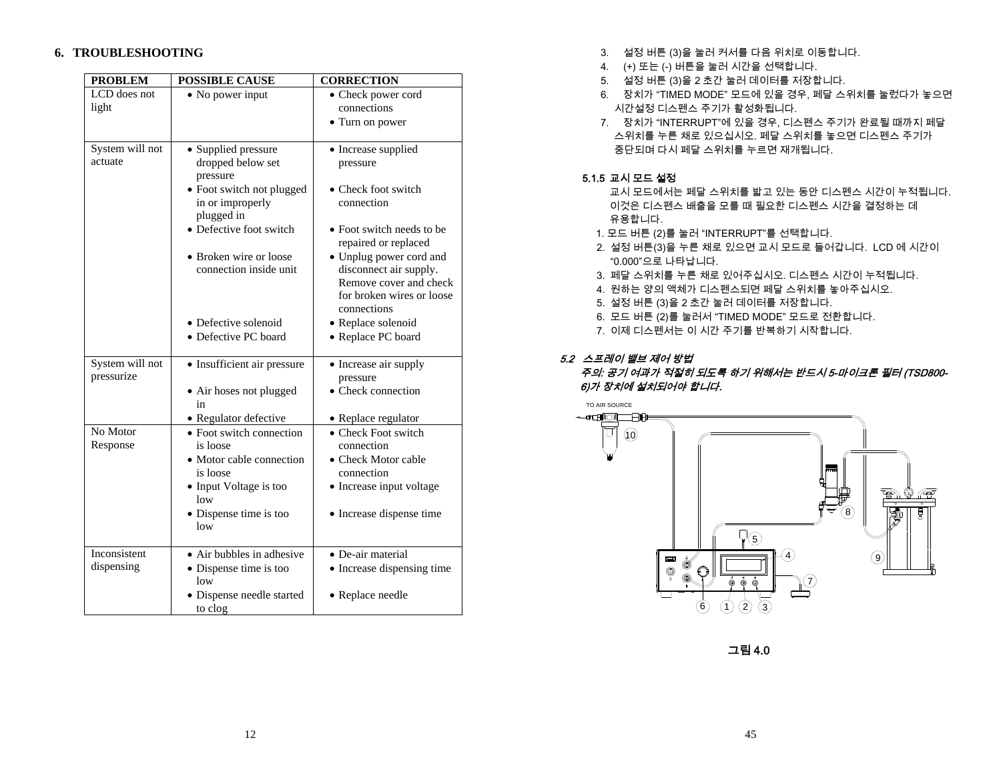# **6. TROUBLESHOOTING**

| <b>PROBLEM</b><br><b>POSSIBLE CAUSE</b> |                                                                                                                                                                                                    | <b>CORRECTION</b>                                                                                                                                                                                                                     |
|-----------------------------------------|----------------------------------------------------------------------------------------------------------------------------------------------------------------------------------------------------|---------------------------------------------------------------------------------------------------------------------------------------------------------------------------------------------------------------------------------------|
| LCD does not<br>light                   | $\bullet$ No power input                                                                                                                                                                           | • Check power cord<br>connections<br>• Turn on power                                                                                                                                                                                  |
| System will not<br>actuate              | • Supplied pressure<br>dropped below set<br>pressure<br>• Foot switch not plugged<br>in or improperly<br>plugged in<br>• Defective foot switch<br>• Broken wire or loose<br>connection inside unit | • Increase supplied<br>pressure<br>• Check foot switch<br>connection<br>• Foot switch needs to be<br>repaired or replaced<br>• Unplug power cord and<br>disconnect air supply.<br>Remove cover and check<br>for broken wires or loose |
|                                         | • Defective solenoid<br>• Defective PC board                                                                                                                                                       | connections<br>• Replace solenoid<br>• Replace PC board                                                                                                                                                                               |
| System will not<br>pressurize           | • Insufficient air pressure<br>• Air hoses not plugged<br>in<br>· Regulator defective                                                                                                              | • Increase air supply<br>pressure<br>• Check connection<br>• Replace regulator                                                                                                                                                        |
| No Motor<br>Response                    | • Foot switch connection<br>is loose<br>• Motor cable connection<br>is loose<br>• Input Voltage is too<br>low<br>• Dispense time is too<br>low                                                     | • Check Foot switch<br>connection<br>• Check Motor cable<br>connection<br>• Increase input voltage<br>• Increase dispense time                                                                                                        |
| Inconsistent<br>dispensing              | • Air bubbles in adhesive<br>• Dispense time is too<br>low<br>• Dispense needle started<br>to clog                                                                                                 | • De-air material<br>• Increase dispensing time<br>• Replace needle                                                                                                                                                                   |

- 3. 설정 버튼 (3)을 눌러 커서를 다음 위치로 이동합니다.
- 4. (+) 또는 (-) 버튼을 눌러 시간을 선택합니다.
- 5. 설정 버튼 (3)을 2 초간 눌러 데이터를 저장합니다.
- 6. 장치가 "TIMED MODE" 모드에 있을 경우, 페달 스위치를 눌렀다가 놓으면 시간설정 디스펜스 주기가 활성화됩니다.
- 7. 장치가 "INTERRUPT"에 있을 경우, 디스펜스 주기가 완료될 때까지 페달 스위치를 누른 채로 있으십시오. 페달 스위치를 놓으면 디스펜스 주기가 중단되며 다시 페달 스위치를 누르면 재개됩니다.

# 5.1.5 교시 모드 설정

- 교시 모드에서는 페달 스위치를 밟고 있는 동안 디스펜스 시간이 누적됩니다. 이것은 디스펜스 배출을 모를 때 필요한 디스펜스 시간을 결정하는 데 유용합니다.
- 1. 모드 버튼 (2)를 눌러 "INTERRUPT"를 선택합니다.
- 2. 설정 버튼(3)을 누른 채로 있으면 교시 모드로 들어갑니다. LCD 에 시간이 "0.000"으로 나타납니다.
- 3. 페달 스위치를 누른 채로 있어주십시오. 디스펜스 시간이 누적됩니다.
- 4. 원하는 양의 액체가 디스펜스되면 페달 스위치를 놓아주십시오.
- 5. 설정 버튼 (3)을 2 초간 눌러 데이터를 저장합니다.
- 6. 모드 버튼 (2)를 눌러서 "TIMED MODE" 모드로 전환합니다.
- 7. 이제 디스펜서는 이 시간 주기를 반복하기 시작합니다.

# 5.2 스프레이 밸브 제어 방법

# 주의: 공기 여과가 적절히 되도록 하기 위해서는 반드시 5-마이크론 필터 (TSD800- 6)가 장치에 설치되어야 합니다.



그림 4.0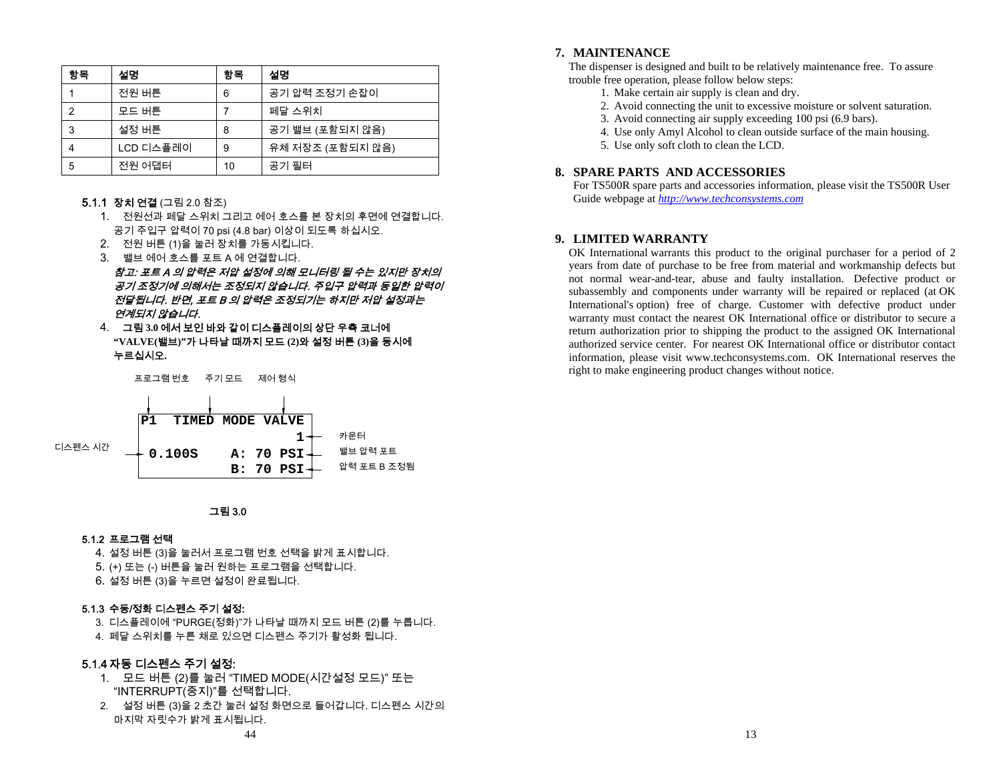| 항목 | 설명        | 항목 | 설명               |
|----|-----------|----|------------------|
|    | 전원 버튼     | 6  | 공기 압력 조정기 손잡이    |
|    | 모드 버튼     |    | 페달 스위치           |
| 3  | 설정 버튼     | 8  | 공기 밸브 (포함되지 않음)  |
|    | LCD 디스플레이 | 9  | 유체 저장조 (포함되지 않음) |
| 5  | 전원 어댑터    | 10 | 공기 필터            |

### **5.1.1 장치 연결** (그림 2.0 참조)

- 1. 전원선과 페달 스위치 그리고 에어 호스를 본 장치의 후면에 연결합니다. 공기 주입구 압력이 70 psi (4.8 bar) 이상이 되도록 하십시오.
- 2. 전원 버튼 (1)을 눌러 장치를 가동시킵니다.
- 3. 밸브 에어 호스를 포트 A 에 연결합니다.

참고: 포트 A 의 압력은 저압 설정에 의해 모니터링 될 수는 있지만 장치의 공기 조정기에 의해서는 조정되지 않습니다. 주입구 압력과 동일한 압력이 전달됩니다. 반면, 포트 B 의 압력은 조정되기는 하지만 저압 설정과는 연계되지 않습니다.

4. 그림 **3.0** 에서 보인 바와 같이 디스플레이의 상단 우측 코너에 **"VALVE(**밸브**)"**가 나타날 때까지 모드 **(2)**와 설정 버튼 **(3)**을 동시에 누르십시오**.**

프로그램 번호 주기 모드 제어 형식



### 그림 3.0

#### 5.1.2 프로그램 선택

4. 설정 버튼 (3)을 눌러서 프로그램 번호 선택을 밝게 표시합니다. 5. (+) 또는 (-) 버튼을 눌러 원하는 프로그램을 선택합니다. 6. 설정 버튼 (3)을 누르면 설정이 완료됩니다.

### 5.1.3 수동/정화 디스펜스 주기 설정:

3. 디스플레이에 "PURGE(정화)"가 나타날 때까지 모드 버튼 (2)를 누릅니다. 4. 페달 스위치를 누른 채로 있으면 디스펜스 주기가 활성화 됩니다.

### 5.1.4 자동 디스펜스 주기 설정:

- 1. 모드 버튼 (2)를 눌러 "TIMED MODE(시간설정 모드)" 또는 "INTERRUPT(중지)"를 선택합니다.
- 2. 설정 버튼 (3)을 2 초간 눌러 설정 화면으로 들어갑니다. 디스펜스 시간의 마지막 자릿수가 밝게 표시됩니다.

### **7. MAINTENANCE**

The dispenser is designed and built to be relatively maintenance free. To assure trouble free operation, please follow below steps:

- 1. Make certain air supply is clean and dry.
- 2. Avoid connecting the unit to excessive moisture or solvent saturation.
- 3. Avoid connecting air supply exceeding 100 psi (6.9 bars).
- 4. Use only Amyl Alcohol to clean outside surface of the main housing.
- 5. Use only soft cloth to clean the LCD.

### **8. SPARE PARTS AND ACCESSORIES**

For TS500R spare parts and accessories information, please visit the TS500R User Guide webpage at *http://www.techconsystems.com*

### **9. LIMITED WARRANTY**

OK International warrants this product to the original purchaser for a period of 2 years from date of purchase to be free from material and workmanship defects but not normal wear-and-tear, abuse and faulty installation. Defective product or subassembly and components under warranty will be repaired or replaced (at OK International's option) free of charge. Customer with defective product under warranty must contact the nearest OK International office or distributor to secure a return authorization prior to shipping the product to the assigned OK International authorized service center. For nearest OK International office or distributor contact information, please visit www.techconsystems.com. OK International reserves the right to make engineering product changes without notice.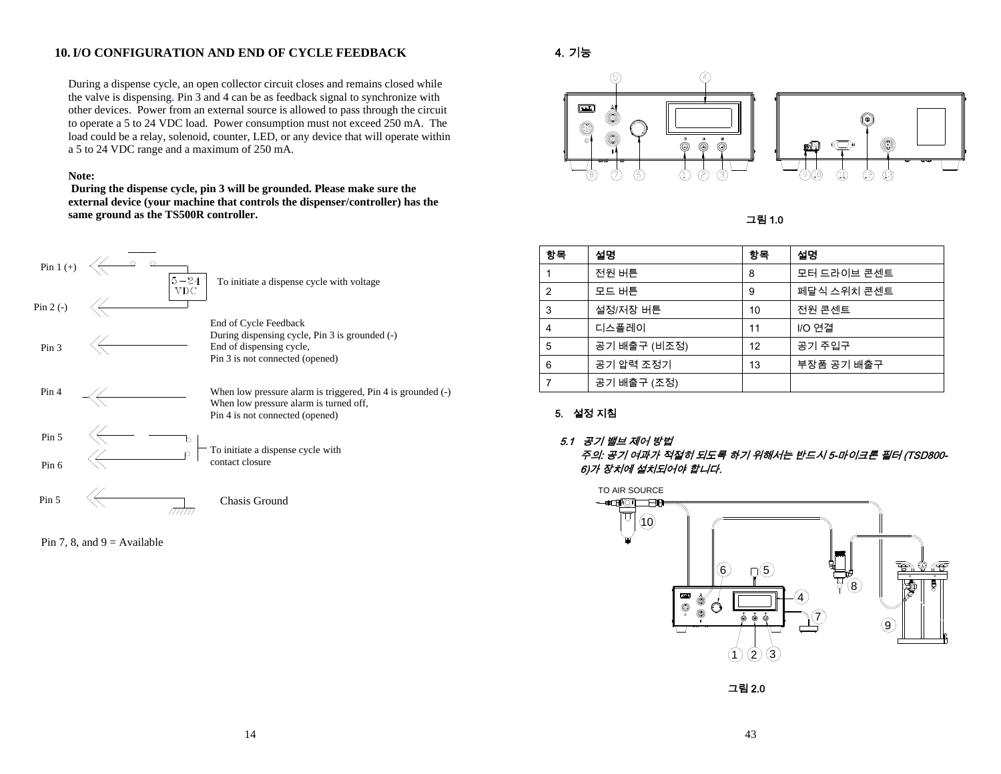# **10.I/O CONFIGURATION AND END OF CYCLE FEEDBACK**

During a dispense cycle, an open collector circuit closes and remains closed while the valve is dispensing. Pin 3 and 4 can be as feedback signal to synchronize with other devices. Power from an external source is allowed to pass through the circuit to operate a 5 to 24 VDC load. Power consumption must not exceed 250 mA. The load could be a relay, solenoid, counter, LED, or any device that will operate within a 5 to 24 VDC range and a maximum of 250 mA.

### **Note:**

 **During the dispense cycle, pin 3 will be grounded. Please make sure the external device (your machine that controls the dispenser/controller) has the same ground as the TS500R controller.** 



Pin 7, 8, and  $9 =$  Available

# 4. 기능



그림 1.0

| 항목             | 설명           | 항목 | 설명          |
|----------------|--------------|----|-------------|
|                | 전원 버튼        | 8  | 모터 드라이브 콘센트 |
| $\overline{2}$ | 모드 버튼        | 9  | 페달식 스위치 콘센트 |
| 3              | 설정/저장 버튼     | 10 | 전원 콘센트      |
| 4              | 디스플레이        | 11 | I/O 연결      |
| 5              | 공기 배출구 (비조정) | 12 | 공기 주입구      |
| 6              | 공기 압력 조정기    | 13 | 부장품 공기 배출구  |
|                | 공기 배출구 (조정)  |    |             |

# 5. 설정 지침

### 5.1 공기 밸브 제어 방법

주의: 공기 여과가 적절히 되도록 하기 위해서는 반드시 5-마이크론 필터 (TSD800- 6)가 장치에 설치되어야 합니다.



그림 2.0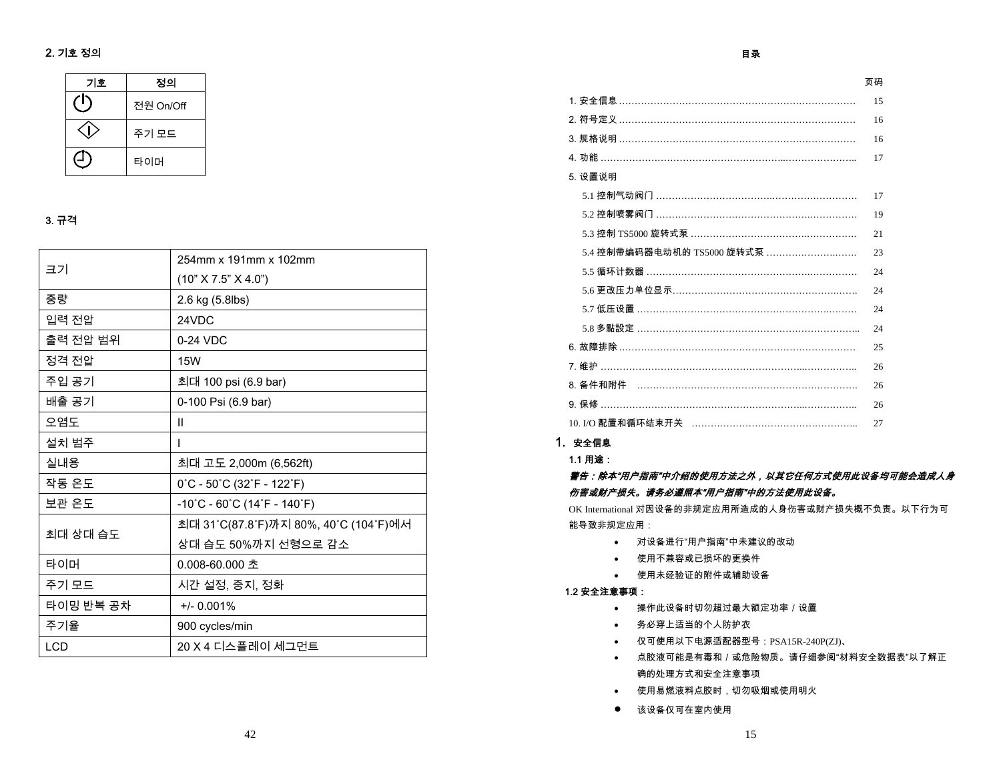# 2. 기호 정의

| 기호 | 정의        |
|----|-----------|
|    | 전원 On/Off |
|    | 주기 모드     |
|    | 타이머       |

# 3. 규격

| 크기         | 254mm x 191mm x 102mm                                                  |  |  |
|------------|------------------------------------------------------------------------|--|--|
|            | (10" X 7.5" X 4.0")                                                    |  |  |
| 중량         | 2.6 kg (5.8lbs)                                                        |  |  |
| 입력 전압      | 24VDC                                                                  |  |  |
| 출력 전압 범위   | 0-24 VDC                                                               |  |  |
| 정격 전압      | <b>15W</b>                                                             |  |  |
| 주입 공기      | 최대 100 psi (6.9 bar)                                                   |  |  |
| 배출 공기      | 0-100 Psi (6.9 bar)                                                    |  |  |
| 오염도        | $\mathbf{H}$                                                           |  |  |
| 설치 범주      | T                                                                      |  |  |
| 실내용        | 최대 고도 2,000m (6,562ft)                                                 |  |  |
| 작동 온도      | $0^{\circ}$ C - 50 $^{\circ}$ C (32 $^{\circ}$ F - 122 $^{\circ}$ F)   |  |  |
| 보관 온도      | $-10^{\circ}$ C - 60 $^{\circ}$ C (14 $^{\circ}$ F - 140 $^{\circ}$ F) |  |  |
| 최대 상대 습도   | 최대 31˚C(87.8˚F)까지 80%, 40˚C (104˚F)에서                                  |  |  |
|            | 상대 습도 50%까지 선형으로 감소                                                    |  |  |
| 타이머        | 0.008-60.000 초                                                         |  |  |
| 주기 모드      | 시간 설정, 중지, 정화                                                          |  |  |
| 타이밍 반복 공차  | $+/- 0.001%$                                                           |  |  |
| 주기율        | 900 cycles/min                                                         |  |  |
| <b>LCD</b> | 20 X 4 디스플레이 세그먼트                                                      |  |  |

### 目录

页码

| 1. 安全信息 ………………………………………………………………     | 15 |
|--------------------------------------|----|
| 2. 符号定义 ………………………………………………………………     | 16 |
| 3. 规格说明 …………………………………………………………………    | 16 |
| 4. 功能 ………………………………………………………………………    | 17 |
| 5. 设置说明                              |    |
| 5.1 控制气动阀门 ………………………………………………………     | 17 |
| 5.2 控制喷雾阀门 ………………………………………………………     | 19 |
| 5.3 控制 TS5000 旋转式泵 …………………………………………… | 21 |
| 5.4 控制带编码器电动机的 TS5000 旋转式泵 ……………………… | 23 |
| 5.5 循环计数器 …………………………………………………………     | 24 |
| 5.6 更改压力单位显示…………………………………………………      | 24 |
| 5.7 低压设置 ……………………………………………………………     | 24 |
| 5.8 多點設定 ………………………………………………………………    | 24 |
| 6. 故障排除…………………………………………………………………     | 25 |
| 7. 维护 ………………………………………………………………………    | 26 |
| 8. 备件和附件 ……………………………………………………………     | 26 |
| 9. 保修 ………………………………………………………………………    | 26 |
| 10.I/O 配置和循环结束开关 ……………………………………………   | 27 |

# 1. 安全信息

1.1 用途:

# 警告:除本"用户指南"中介绍的使用方法之外,以其它任何方式使用此设备均可能会造成人身 伤害或财产损失。请务必遵照本"用户指南"中的方法使用此设备。

OK International 对因设备的非规定应用所造成的人身伤害或财产损失概不负责。以下行为可能导致非规定应用:

- 对设备进行"用户指南"中未建议的改动
- 使用不兼容或已损坏的更换件
- 使用未经验证的附件或辅助设备

# 1.2 安全注意事项:

- 操作此设备时切勿超过最大额定功率/设置
- 务必穿上适当的个人防护衣
- 仅可使用以下电源适配器型号:PSA15R-240P(ZJ)、
- 点胶液可能是有毒和/或危险物质。请仔细参阅"材料安全数据表"以了解正 确的处理方式和安全注意事项
- 使用易燃液料点胶时,切勿吸烟或使用明火
- 该设备仅可在室内使用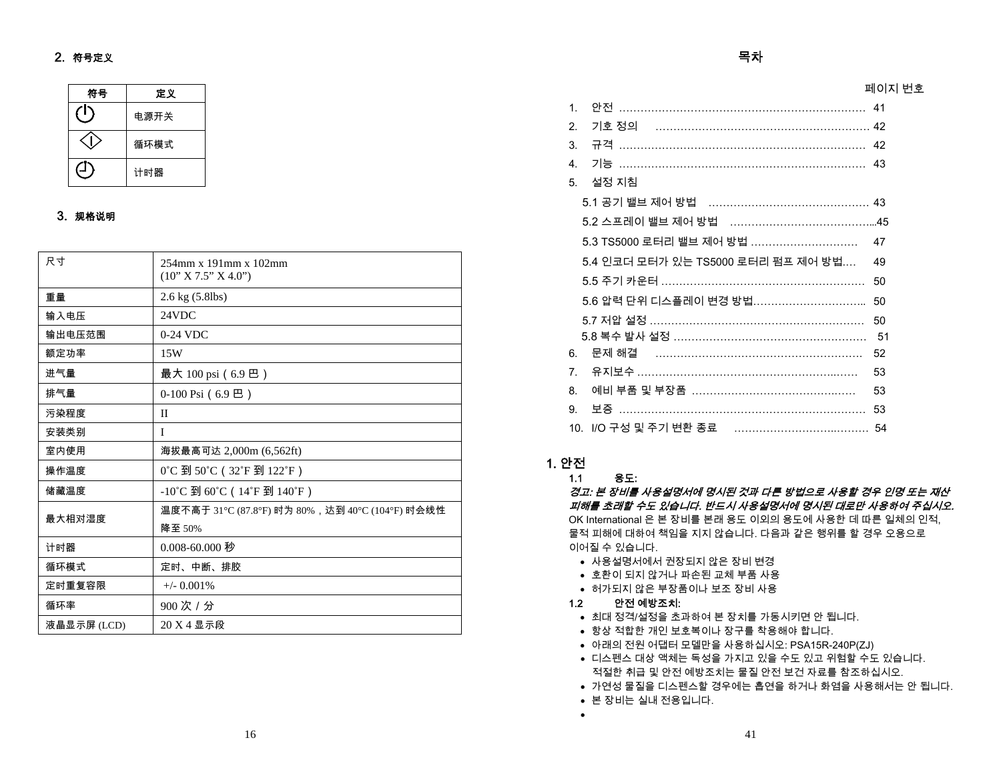# 2. 符号定义

| 符号 | 定义   |
|----|------|
|    | 电源开关 |
|    | 循环模式 |
|    | 计时器  |

# 3. 规格说明

| 尺寸          | $254$ mm x 191mm x 102mm<br>(10" X 7.5" X 4.0")       |
|-------------|-------------------------------------------------------|
| 重量          | 2.6 kg (5.8lbs)                                       |
| 输入电压        | 24VDC                                                 |
| 输出电压范围      | $0-24$ VDC                                            |
| 额定功率        | 15W                                                   |
| 进气量         | 最大 100 psi (6.9 巴)                                    |
| 排气量         | $0-100$ Psi (6.9 巴)                                   |
| 污染程度        | $\mathbf{I}$                                          |
| 安装类别        | T                                                     |
| 室内使用        | 海拔最高可达 2,000m (6,562ft)                               |
| 操作温度        | 0°C 到 50°C (32°F 到 122°F)                             |
| 储藏温度        | -10°C 到 60°C (14°F 到 140°F)                           |
| 最大相对湿度      | 温度不高于 31℃ (87.8℃) 时为 80%,达到 40℃ (104℃) 时会线性<br>降至 50% |
| 计时器         | 0.008-60.000 秒                                        |
| 循环模式        | 定时、中断、排胶                                              |
| 定时重复容限      | $+/-$ 0.001%                                          |
| 循环率         | 900次 / 分                                              |
| 液晶显示屏 (LCD) | 20 X 4 显示段                                            |

| 1 <sub>1</sub> |                                      |              |
|----------------|--------------------------------------|--------------|
| 2 <sub>1</sub> |                                      |              |
| 3.             |                                      |              |
| $\overline{4}$ |                                      |              |
| 5.             | 설정 지침                                |              |
|                | 5.1 공기 밸브 제어 방법 ……………………………………… 43   |              |
|                |                                      |              |
|                | 5.3 TS5000 로터리 밸브 제어 방법              | 47           |
|                | 5.4 인코더 모터가 있는 TS5000 로터리 펌프 제어 방법…. | 49           |
|                |                                      | 50           |
|                | 5.6 압력 단위 디스플레이 변경 방법………………………… 50   |              |
|                |                                      | $50^{\circ}$ |
|                | 5.8 복수 발사 설정 ……………………………………………… 51   |              |
| 6.             |                                      | 52           |
| 7 <sup>1</sup> |                                      | 53           |
| 8.             | 예비 부품 및 부장품 ………………………………………          | 53           |
| 9.             |                                      |              |
|                |                                      |              |

목차

# 1. 안전

1.1용도:

경고: 본 장비를 사용설명서에 명시된 것과 다른 방법으로 사용할 경우 인명 또는 재산 피해를 초래할 수도 있습니다. 반드시 사용설명서에 명시된 대로만 사용하여 주십시오. OK International 은 본 장비를 본래 용도 이외의 용도에 사용한 데 따른 일체의 인적, 물적 피해에 대하여 책임을 지지 않습니다. 다음과 같은 행위를 할 경우 오용으로 이어질 수 있습니다.

- 사용설명서에서 권장되지 않은 장비 변경
- 호환이 되지 않거나 파손된 교체 부품 사용
- 허가되지 않은 부장품이나 보조 장비 사용
- 1.2안전 예방조치:

•

- 최대 정격/설정을 초과하여 본 장치를 가동시키면 안 됩니다.
- 항상 적합한 개인 보호복이나 장구를 착용해야 합니다.
- 아래의 전원 어댑터 모델만을 사용하십시오: PSA15R-240P(ZJ)
- 디스펜스 대상 액체는 독성을 가지고 있을 수도 있고 위험할 수도 있습니다. 적절한 취급 및 안전 예방조치는 물질 안전 보건 자료를 참조하십시오.

41

- 가연성 물질을 디스펜스할 경우에는 흡연을 하거나 화염을 사용해서는 안 됩니다.
- 본 장비는 실내 전용입니다.

페이지 번호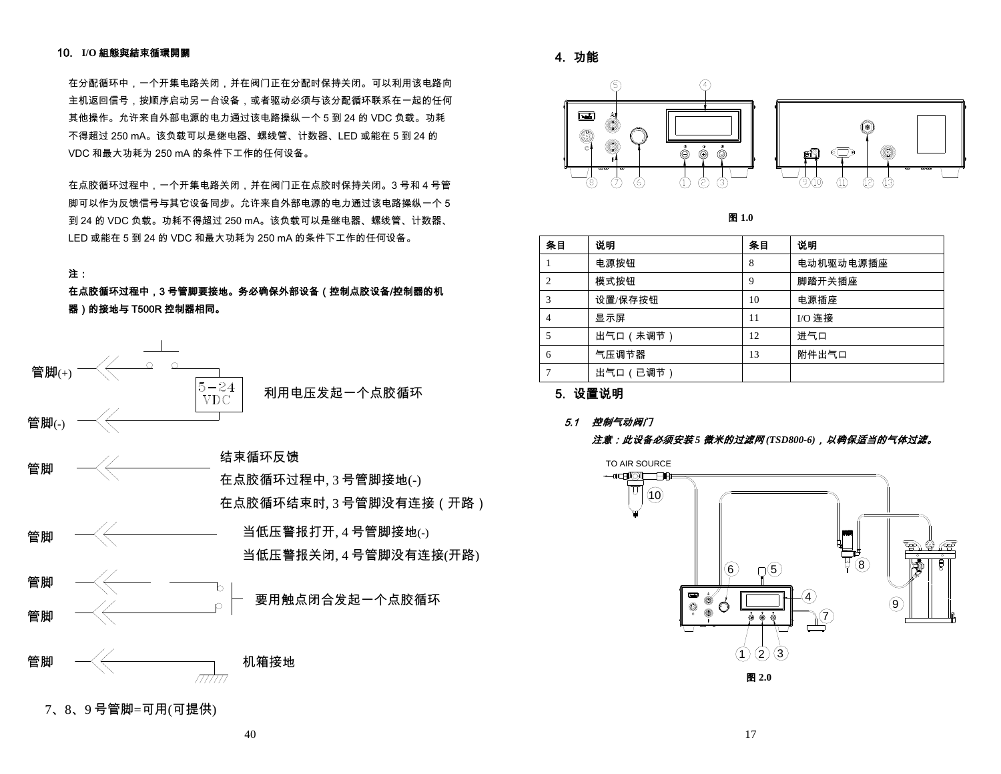### 10. **I/O** 組態與結束循環開關

在分配循环中,一个开集电路关闭,并在阀门正在分配时保持关闭。可以利用该电路向 主机返回信号,按顺序启动另一台设备,或者驱动必须与该分配循环联系在一起的任何 其他操作。允许来自外部电源的电力通过该电路操纵一个 5 到 24 的 VDC 负载。功耗 不得超过 250 mA。该负载可以是继电器、螺线管、计数器、LED 或能在 5 到 24 的 VDC 和最大功耗为 250 mA 的条件下工作的任何设备。

在点胶循环过程中,一个开集电路关闭,并在阀门正在点胶时保持关闭。3 号和 4 号管 脚可以作为反馈信号与其它设备同步。允许来自外部电源的电力通过该电路操纵一个 5 到 24 的 VDC 负载。功耗不得超过 250 mA。该负载可以是继电器、螺线管、计数器、 LED 或能在 5 到 24 的 VDC 和最大功耗为 250 mA 的条件下工作的任何设备。

# 注:

在点胶循环过程中,3 号管脚要接地。务必确保外部设备(控制点胶设备/控制器的机 器)的接地与 T500R 控制器相同。



4. 功能



图 **1.0** 

| 条目             | 说明        | 条目 | 说明        |
|----------------|-----------|----|-----------|
|                | 电源按钮      | 8  | 电动机驱动电源插座 |
| $\overline{2}$ | 模式按钮      | 9  | 脚踏开关插座    |
| 3              | 设置/保存按钮   | 10 | 电源插座      |
| $\overline{4}$ | 显示屏       | 11 | I/O 连接    |
| 5              | 出气口 (未调节) | 12 | 进气口       |
| 6              | 气压调节器     | 13 | 附件出气口     |
| 7              | 出气口(已调节)  |    |           |

5. 设置说明

### 5.1 控制气动阀门

### 注意:此设备必须安装 *5* 微米的过滤网 *(TSD800-6)*,以确保适当的气体过滤。

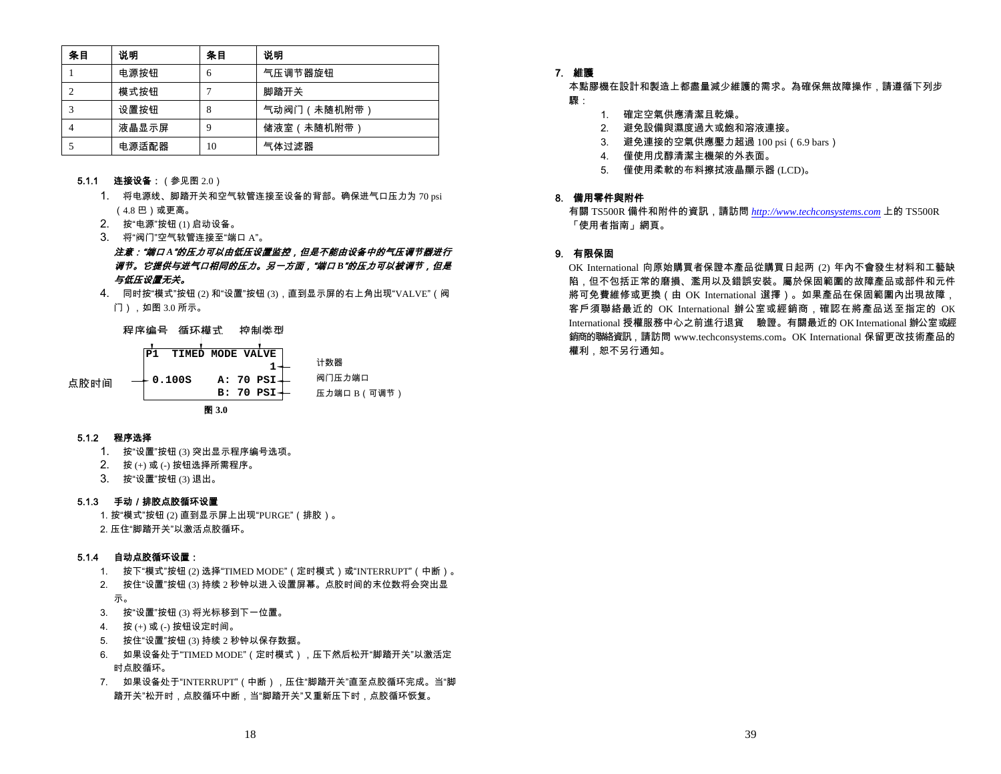| 条目 | 说明    | 条目 | 说明         |
|----|-------|----|------------|
|    | 电源按钮  | h  | 气压调节器旋钮    |
|    | 模式按钮  |    | 脚踏开关       |
|    | 设置按钮  | 8  | 气动阀门(未随机附带 |
|    | 液晶显示屏 |    | 储液室(未随机附带  |
|    | 电源适配器 | 10 | 气体过滤器      |

- **5.1.1 连接设备:**(参见图 2.0)
	- 1. 将电源线、脚踏开关和空气软管连接至设备的背部。确保进气口压力为 70 psi (4.8 巴)或更高。
	- 2. 按"电源"按钮 (1) 启动设备。
	- 3. 将"阀门"空气软管连接至"端口 A"。

注意:"端口 *A*"的压力可以由低压设置监控,但是不能由设备中的气压调节器进行 调节。它提供与进气口相同的压力。另一方面,"端口 *B*"的压力可以被调节,但是 与低压设置无关。

4. 同时按"模式"按钮 (2) 和"设置"按钮 (3),直到显示屏的右上角出现"VALVE"(阀 门),如图 3.0 所示。



#### 5.1.2 程序选择

- 1. 按"设置"按钮 (3) 突出显示程序编号选项。
- 2. 按 (+) 或 (-) 按钮选择所需程序。
- 3. 按"设置"按钮 (3) 退出。

#### 5.1.3 手动/排胶点胶循环设置

1. 按"模式"按钮 (2) 直到显示屏上出现"PURGE"(排胶)。

2. 压住"脚踏开关"以激活点胶循环。

#### 5.1.4 自动点胶循环设置:

- 1. 按下"模式"按钮 (2) 选择"TIMED MODE"(定时模式)或"INTERRUPT"(中断)。
- 2. 按住"设置"按钮 (3) 持续 2 秒钟以进入设置屏幕。点胶时间的末位数将会突出显 示。
- 3. 按"设置"按钮 (3) 将光标移到下一位置。
- 4. 按 (+) 或 (-) 按钮设定时间。
- 5. 按住"设置"按钮 (3) 持续 2 秒钟以保存数据。
- 6. 如果设备处于"TIMED MODE"(定时模式),压下然后松开"脚踏开关"以激活定 时点胶循环。
- 7. 如果设备处于"INTERRUPT"(中断),压住"脚踏开关"直至点胶循环完成。当"脚 踏开关"松开时,点胶循环中断,当"脚踏开关"又重新压下时,点胶循环恢复。

### 7. 維護

本點膠機在設計和製造上都盡量減少維護的需求。為確保無故障操作,請遵循下列步 驟:

- 1. 確定空氣供應清潔且乾燥。
- 2. 避免設備與濕度過大或飽和溶液連接。
- 3. 避免連接的空氣供應壓力超過 100 psi(6.9 bars)
- 4. 僅使用戊醇清潔主機架的外表面。
- 5. 僅使用柔軟的布料擦拭液晶顯示器 (LCD)。

#### 8. 備用零件與附件

有關 TS500R 備件和附件的資訊,請訪問 *http://www.techconsystems.com* 上的 TS500R 「使用者指南」網頁。

### 9. 有限保固

OK International 向原始購買者保證本產品從購買日起两 (2) 年內不會發生材料和工藝缺 陷,但不包括正常的磨損、濫用以及錯誤安裝。屬於保固範圍的故障產品或部件和元件 將可免費維修或更換(由 OK International 選擇)。如果產品在保固範圍內出現故障, 客戶須聯絡最近的 OK International 辦公室或經銷商,確認在將產品送至指定的 OK International 授權服務中心之前進行退貨 驗證。有關最近的 OK International 辦公室或經 銷商的聯絡資訊,請訪問 www.techconsystems.com。OK International 保留更改技術產品的 權利,恕不另行通知。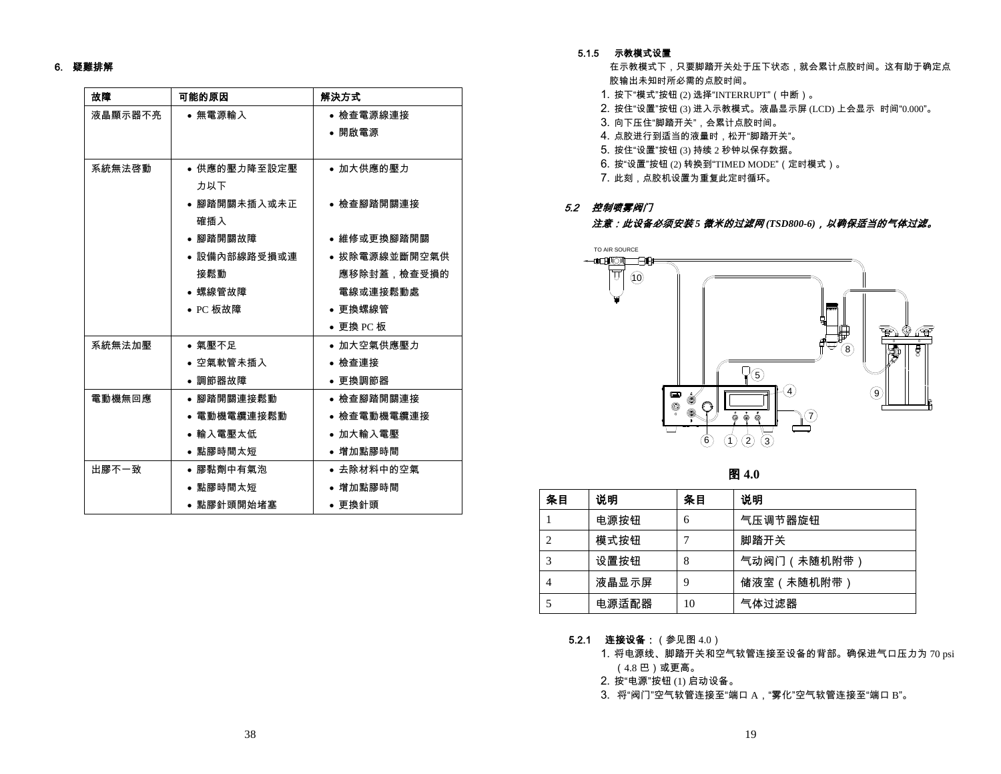### 6. 疑難排解

| 故障      | 可能的原因        | 解決方式          |
|---------|--------------|---------------|
| 液晶顯示器不亮 | ● 無電源輸入      | ● 檢查電源線連接     |
|         |              | • 開啟電源        |
|         |              |               |
| 系統無法啓動  | ● 供應的壓力降至設定壓 | ● 加大供應的壓力     |
|         | 力以下          |               |
|         | ● 腳踏開關未插入或未正 | ● 檢查腳踏開關連接    |
|         | 確插入          |               |
|         | • 腳踏開關故障     | ● 維修或更換腳踏開關   |
|         | ● 設備內部線路受損或連 | ● 拔除電源線並斷開空氣供 |
|         | 接鬆動          | 應移除封蓋,檢查受損的   |
|         | ● 螺線管故障      | 電線或連接鬆動處      |
|         | • PC 板故障     | ● 更換螺線管       |
|         |              | ● 更換 PC 板     |
| 系統無法加壓  | ● 氣壓不足       | ● 加大空氣供應壓力    |
|         | ● 空氣軟管未插入    | ● 檢查連接        |
|         | • 調節器故障      | ● 更換調節器       |
| 電動機無回應  | ● 腳踏開關連接鬆動   | ● 檢查腳踏開關連接    |
|         | ● 電動機電纜連接鬆動  | ● 檢查電動機電纜連接   |
|         | ● 輸入電壓太低     | ● 加大輸入電壓      |
|         | ● 點膠時間太短     | ● 增加點膠時間      |
| 出膠不一致   | ● 膠黏劑中有氣泡    | ● 去除材料中的空氣    |
|         | ● 點膠時間太短     | ● 增加點膠時間      |
|         | ● 點膠針頭開始堵塞   | ● 更換針頭        |

#### 5.1.5 示教模式设置

在示教模式下,只要脚踏开关处于压下状态,就会累计点胶时间。这有助于确定点 胶输出未知时所必需的点胶时间。

- 1. 按下"模式"按钮 (2) 选择"INTERRUPT"(中断)。
- 2. 按住"设置"按钮 (3) 进入示教模式。液晶显示屏 (LCD) 上会显示 时间"0.000"。
- 3. 向下压住"脚踏开关",会累计点胶时间。

4. 点胶进行到适当的液量时,松开"脚踏开关"。

- 5. 按住"设置"按钮 (3) 持续 2 秒钟以保存数据。
- 6. 按"设置"按钮 (2) 转换到"TIMED MODE"(定时模式)。
- 7. 此刻,点胶机设置为重复此定时循环。

# 5.2 控制喷雾阀门 注意:此设备必须安装 *5* 微米的过滤网 *(TSD800-6)*,以确保适当的气体过滤。



图 **4.0** 

| 条目 | 说明    | 条目 | 说明         |
|----|-------|----|------------|
|    | 电源按钮  | 6  | 气压调节器旋钮    |
| 2  | 模式按钮  |    | 脚踏开关       |
| 3  | 设置按钮  | 8  | 气动阀门(未随机附带 |
| 4  | 液晶显示屏 | 9  | 储液室(未随机附带) |
| 5  | 电源适配器 | 10 | 气体过滤器      |

- **5.2.1 连接设备:**(参见图 4.0)
	- 1. 将电源线、脚踏开关和空气软管连接至设备的背部。确保进气口压力为 70 psi (4.8 巴)或更高。
	- 2. 按"电源"按钮 (1) 启动设备。
	- 3. 将"阀门"空气软管连接至"端口 A,"雾化"空气软管连接至"端口 B"。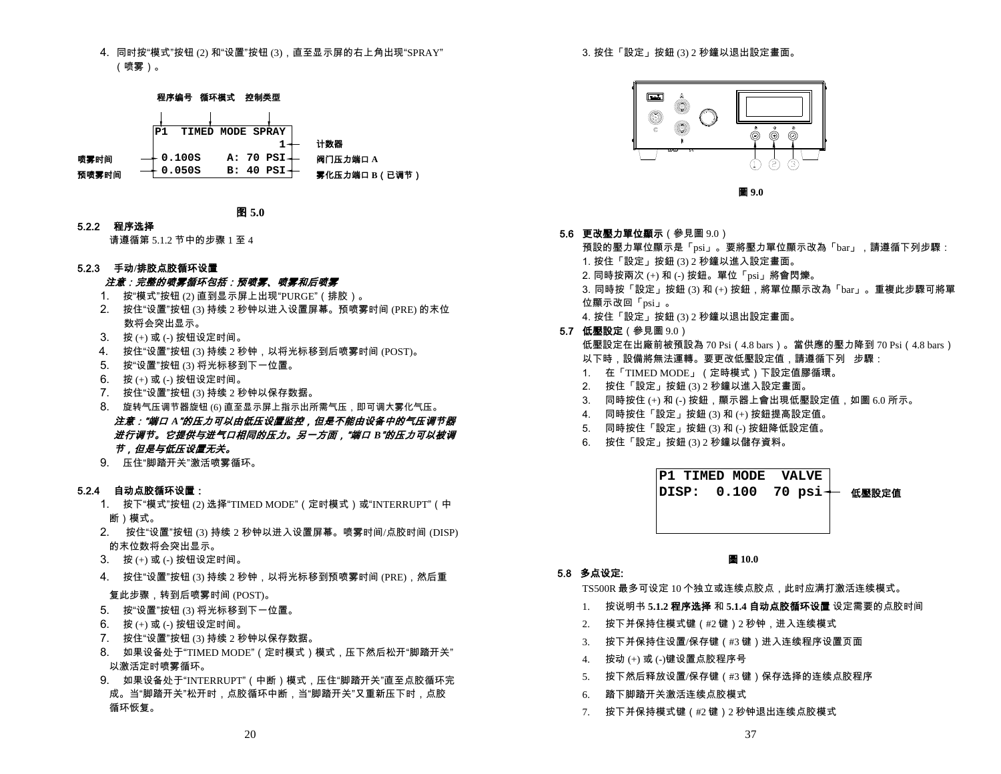4. 同时按"模式"按钮 (2) 和"设置"按钮 (3),直至显示屏的右上角出现"SPRAY" (喷雾)。



图 **5.0**

5.2.2 程序选择

请遵循第 5.1.2 节中的步骤 1 至 4

### 5.2.3 手动**/**排胶点胶循环设置

### 注意:完整的喷雾循环包括:预喷雾、喷雾和后喷雾

- 1. 按"模式"按钮 (2) 直到显示屏上出现"PURGE"(排胶)。
- 2. 按住"设置"按钮 (3) 持续 2 秒钟以进入设置屏幕。预喷雾时间 (PRE) 的末位 数将会突出显示。
- 3. 按 (+) 或 (-) 按钮设定时间。
- 4. 按住"设置"按钮 (3) 持续 2 秒钟,以将光标移到后喷雾时间 (POST)。
- 5. 按"设置"按钮 (3) 将光标移到下一位置。
- 6. 按 (+) 或 (-) 按钮设定时间。
- 7. 按住"设置"按钮 (3) 持续 2 秒钟以保存数据。
- 8. 旋转气压调节器旋钮 (6) 直至显示屏上指示出所需气压,即可调大雾化气压。 注意:"端口 *A*"的压力可以由低压设置监控,但是不能由设备中的气压调节器 进行调节。它提供与进气口相同的压力。另一方面,"端口 *B*"的压力可以被调 节,但是与低压设置无关。
- 9. 压住"脚踏开关"激活喷雾循环。

### 5.2.4 自动点胶循环设置:

- 1. 按下"模式"按钮 (2) 选择"TIMED MODE"(定时模式)或"INTERRUPT"(中 断)模式。
- 2. 按住"设置"按钮 (3) 持续 2 秒钟以进入设置屏幕。喷雾时间/点胶时间 (DISP) 的末位数将会突出显示。
- 3. 按 (+) 或 (-) 按钮设定时间。
- 4. 按住"设置"按钮 (3) 持续 2 秒钟,以将光标移到预喷雾时间 (PRE),然后重

# 复此步骤,转到后喷雾时间 (POST)。

- 5. 按"设置"按钮 (3) 将光标移到下一位置。
- 6. 按 (+) 或 (-) 按钮设定时间。
- 7. 按住"设置"按钮 (3) 持续 2 秒钟以保存数据。
- 8. 如果设备处于"TIMED MODE"(定时模式)模式,压下然后松开"脚踏开关" 以激活定时喷雾循环。
- 9. 如果设备处于"INTERRUPT"(中断)模式,压住"脚踏开关"直至点胶循环完 成。当"脚踏开关"松开时,点胶循环中断,当"脚踏开关"又重新压下时,点胶 循环恢复。

3. 按住「設定」按鈕 (3) 2 秒鐘以退出設定畫面。



圖 **9.0** 

**5.6 更改壓力單位顯示**(參見圖 9.0)

預設的壓力單位顯示是「psi」。要將壓力單位顯示改為「bar」,請遵循下列步驟:

- 1. 按住「設定」按鈕 (3) 2 秒鐘以進入設定畫面。
- 2. 同時按兩次 (+) 和 (-) 按鈕。單位「psi」將會閃爍。

3. 同時按「設定」按鈕 (3) 和 (+) 按鈕,將單位顯示改為「bar」。重複此步驟可將單 位顯示改回「psi」。

- 4. 按住「設定」按鈕 (3) 2 秒鐘以退出設定畫面。
- **5.7 低壓設定**(參見圖 9.0) 低壓設定在出廠前被預設為 70 Psi(4.8 bars)。當供應的壓力降到 70 Psi(4.8 bars)
	- 以下時,設備將無法運轉。要更改低壓設定值,請遵循下列 步驟:
	- 1. 在「TIMED MODE」(定時模式)下設定值膠循環。
	- 2. 按住「設定」按鈕 (3) 2 秒鐘以進入設定畫面。
	- 3. 同時按住 (+) 和 (-) 按鈕,顯示器上會出現低壓設定值,如圖 6.0 所示。
	- 4. 同時按住「設定」按鈕 (3) 和 (+) 按鈕提高設定值。
	- 5. 同時按住「設定」按鈕 (3) 和 (-) 按鈕降低設定值。
	- 6. 按住「設定」按鈕 (3) 2 秒鐘以儲存資料。

**DISP: 0.100 70 psi+ 低壓設定值 P1 TIMED MODE VALVE**

# 5.8 多点设定:

TS500R 最多可设定 <sup>10</sup> 个独立或连续点胶点,此时应满打激活连续模式。

圖 **10.0** 

- 1. 按说明书 **5.1.2** 程序选择 和 **5.1.4** 自动点胶循环设置 设定需要的点胶时间
- 2. 按下并保持住模式键(#2 键)<sup>2</sup> 秒钟,进入连续模式
- 3. 按下并保持住设置/保存键(#3 键)进入连续程序设置页面
- 4. 按动 (+) 或 (-)键设置点胶程序号
- 5. 按下然后释放设置/保存键(#3 键)保存选择的连续点胶程序
- 6. 踏下脚踏开关激活连续点胶模式
- 7. 按下并保持模式键(#2 键)<sup>2</sup> 秒钟退出连续点胶模式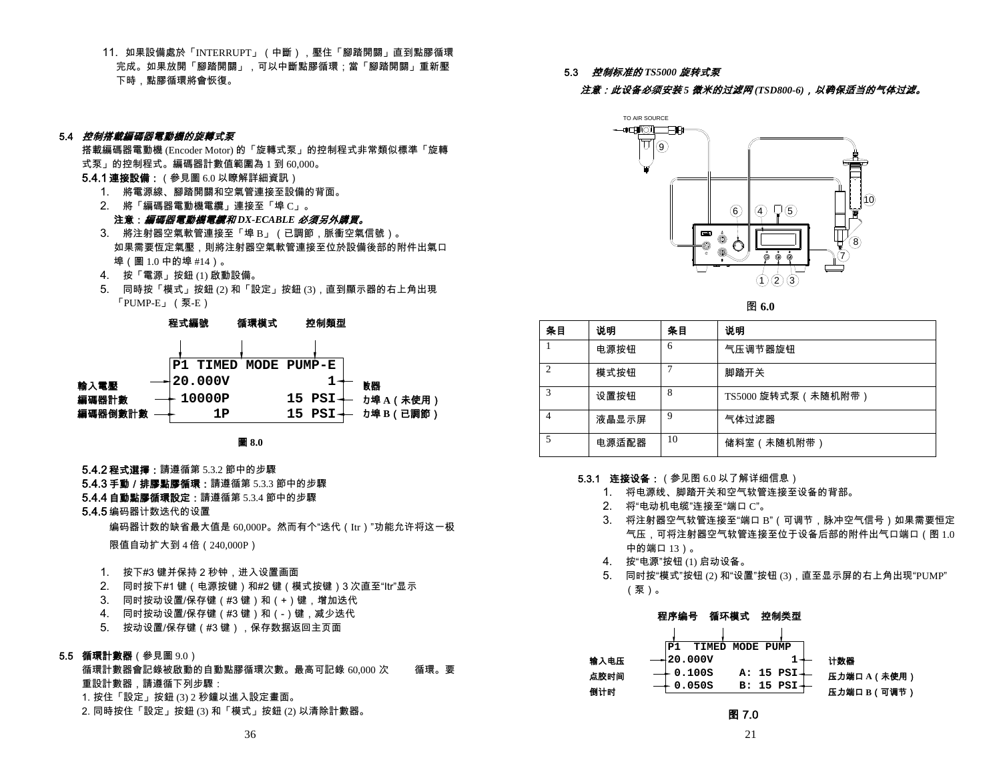11. 如果設備處於「INTERRUPT」(中斷),壓住「腳踏開關」直到點膠循環 宗成。如果放開「腳踏開關」,可以中斷點膠循環;當「腳踏開關」重新壓 下時,點膠循環將會恢復。

5.3 控制标准的 *TS5000* 旋转式泵

注意:此设备必须安装 *5* 微米的过滤网 *(TSD800-6)*,以确保适当的气体过滤。

### 5.4 *控制搭載編碼器電動機的旋轉式泵*

搭載編碼器電動機 (Encoder Motor) 的「旋轉式泵」的控制程式非常類似標準「旋轉 式泵」的控制程式。編碼器計數值範圍為 1 到 60,000。

- **5.4.1 連接設備** : (參見圖 6.0 以瞭解詳細資訊):
	- 1. 將電源線、腳踏開關和空氣管連接至設備的背面。
	- 2. 將「編碼器電動機電纜」連接至「埠 C」。

注意:編碼器電動機電纜和 *DX-ECABLE* 必須另外購買。

- 3. 將注射器空氣軟管連接至「埠 B」(已調節,脈衝空氣信號)。 如果需要恆定氣壓,則將注射器空氣軟管連接至位於設備後部的附件出氣口 埠(圖 1.0 中的埠 #14)。
- 4. 按「電源」按鈕 (1) 啟動設備。
- 5. 同時按「模式」按鈕 (2) 和「設定」按鈕 (3),直到顯示器的右上角出現 「PUMP-E」(泵-E)





- **5.4.2 程式選擇**:請遵循第 5.3.2 節中的步驟
- **5.4.3 手動/排膠點膠循環:**請遵循第 5.3.3 節中的步驟

### **5.4.4 自動點膠循環設定:**請遵循第 5.3.4 節中的步驟

5.4.5 编码器计数迭代的设置

编码器计数的缺省最大值是 60,000P。然而有个"迭代(Itr)"功能允许将这一极

限值自动扩大到 4 倍(240,000P)

- 1. 按下#3 键并保持 2 秒钟,进入设置画面
- 2. 同时按下#1 键(电源按键)和#2 键(模式按键)3 次直至"Itr"显示
- 3. 同时按动设置/保存键(#3 键)和(+)键,增加迭代
- 4. 同时按动设置/保存键(#3 键)和(-)键,减少迭代
- 5. 按动设置/保存键(#3 键),保存数据返回主页面

### **5.5 循環計數器**(參見圖 9.0)

循環計數器會記錄被啟動的自動點膠循環次數。最高可記錄 60,000 次 循環。要 重設計數器,請遵循下列步驟: 1. 按住「設定」按鈕 (3) 2 秒鐘以進入設定畫面。 2. 同時按住「設定」按鈕 (3) 和「模式」按鈕 (2) 以清除計數器。



图 **6.0** 

| 条目                          | 说明    | 条目 | 说明                 |
|-----------------------------|-------|----|--------------------|
|                             | 电源按钮  | 6  | 气压调节器旋钮            |
| $\mathcal{D}_{\mathcal{L}}$ | 模式按钮  |    | 脚踏开关               |
| 3                           | 设置按钮  | 8  | TS5000 旋转式泵(未随机附带) |
| 4                           | 液晶显示屏 | 9  | 气体过滤器              |
| 5                           | 电源适配器 | 10 | 储料室 (未随机附带)        |

### **5.3.1 连接设备:**(参见图 6.0 以了解详细信息)

- 1. 将电源线、脚踏开关和空气软管连接至设备的背部。
- 2. 将"电动机电缆"连接至"端口 C"。
- 3. 将注射器空气软管连接至"端口 B"(可调节,脉冲空气信号)如果需要恒定 气压,可将注射器空气软管连接至位于设备后部的附件出气口端口(图 1.0 中的端口 13)。
- 4. 按"电源"按钮 (1) 启动设备。
- 5. 同时按"模式"按钮 (2) 和"设置"按钮 (3),直至显示屏的右上角出现"PUMP" (泵)。

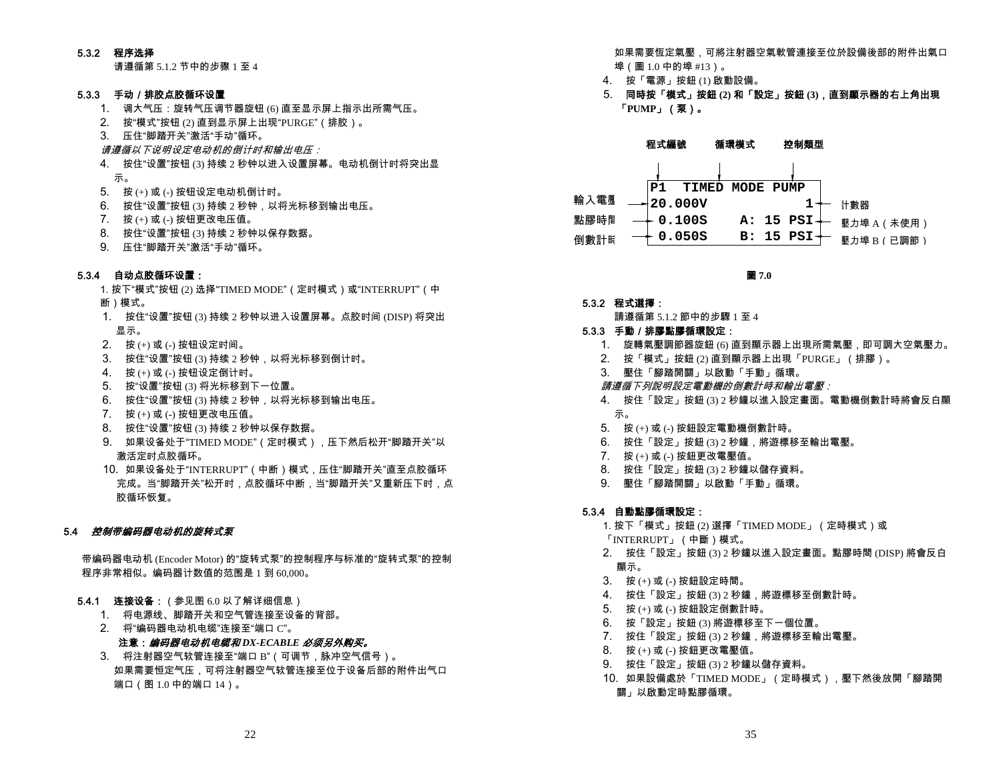### 5.3.2 程序选择

请遵循第 5.1.2 节中的步骤 1 至 4

# 5.3.3 手动/排胶点胶循环设置

- 1. 调大气压:旋转气压调节器旋钮 (6) 直至显示屏上指示出所需气压。
- 2. 按"模式"按钮 (2) 直到显示屏上出现"PURGE"(排胶)。
- 3. 压住"脚踏开关"激活"手动"循环。
- **请遵循以下说明设定电动机的倒计时和输出电压**:
- 4. 按住"设置"按钮 (3) 持续 2 秒钟以进入设置屏幕。电动机倒计时将突出显 示。
- 5. 按 (+) 或 (-) 按钮设定电动机倒计时。
- 6. 按住"设置"按钮 (3) 持续 2 秒钟,以将光标移到输出电压。
- 7. 按 (+) 或 (-) 按钮更改电压值。
- 8. 按住"设置"按钮 (3) 持续 2 秒钟以保存数据。
- 9. 压住"脚踏开关"激活"手动"循环。

# 5.3.4 自动点胶循环设置:

- 1. 按下"模式"按钮 (2) 选择"TIMED MODE" (定时模式) 或"INTERRUPT" (中 断)模式。
- 1. 按住"设置"按钮 (3) 持续 2 秒钟以进入设置屏幕。点胶时间 (DISP) 将突出 显示。
- 2. 按 (+) 或 (-) 按钮设定时间。
- 3. 按住"设置"按钮 (3) 持续 2 秒钟,以将光标移到倒计时。
- 4. 按 (+) 或 (-) 按钮设定倒计时。
- 5. 按"设置"按钮 (3) 将光标移到下一位置。
- 6. 按住"设置"按钮 (3) 持续 2 秒钟,以将光标移到输出电压。
- 7. 按 (+) 或 (-) 按钮更改电压值。
- 8. 按住"设置"按钮 (3) 持续 2 秒钟以保存数据。
- 9. 如果设备处于"TIMED MODE"(定时模式),压下然后松开"脚踏开关"以 激活定时点胶循环。
- 10. 如果设备处于"INTERRUPT"(中断)模式,压住"脚踏开关"直至点胶循环 完成。当"脚踏开关"松开时,点胶循环中断,当"脚踏开关"又重新压下时,点 胶循环恢复。

# 5.4 *控制带编码器电动机的旋转式泵*

带编码器电动机 (Encoder Motor) 的"旋转式泵"的控制程序与标准的"旋转式泵"的控制 程序非常相似。编码器计数值的范围是 1 到 60,000。

### **5.4.1 连接设备:**(参见图 6.0 以了解详细信息)

- 1. 将电源线、脚踏开关和空气管连接至设备的背部。
- 2. 将"编码器电动机电缆"连接至"端口 C"。
- 注意:编码器电动机电缆和DX-ECABLE 必须另外购买。
- 3. 将注射器空气软管连接至"端口 B"(可调节,脉冲空气信号)。 如果需要恒定气压,可将注射器空气软管连接至位于设备后部的附件出气口 端口(图 1.0 中的端口 14)。

如果需要恆定氣壓,可將注射器空氣軟管連接至位於設備後部的附件出氣口 埠(圖 1.0 中的埠 #13)。

- 4. 按「電源」按鈕 (1) 啟動設備。
- 5. 同時按「模式」按鈕 **(2)** 和「設定」按鈕 **(3)**,直到顯示器的右上角出現 「**PUMP**」(泵)。

# 程式編號 循環模式 控制類型



圖 **7.0** 

- 5.3.2 程式選擇:
	- 請遵循第 512 節中的步驟 1 至 4

### 5.3.3 手動/排膠點膠循環設定:

- 1. 旋轉氣壓調節器旋鈕 (6) 直到顯示器上出現所需氣壓,即可調大空氣壓力。
- 2. 按「模式」按鈕 (2) 直到顯示器上出現「PURGE」(排膠)。
- 3. 壓住「腳踏開關」以啟動「手動」循環。
- 請遵循下列說明設定電動機的倒數計時和輸出電壓:
- 4. 按住「設定」按鈕 (3) 2 秒鐘以進入設定畫面。電動機倒數計時將會反白顯 示。
- 5. 按 (+) 或 (-) 按鈕設定電動機倒數計時。
- 6. 按住「設定」按鈕 (3) 2 秒鐘,將遊標移至輸出電壓。
- 7. 按 (+) 或 (-) 按鈕更改電壓值。
- 8. 按住「設定」按鈕 (3) 2 秒鐘以儲存資料。
- 9. 壓住「腳踏開關」以啟動「手動」循環。

# 5.3.4 自動點膠循環設定:

1. 按下「模式」按鈕 (2) 選擇「TIMED MODE」(定時模式)或 「INTERRUPT」(中斷)模式。

- 2. 按住「設定」按鈕 (3) 2 秒鐘以進入設定畫面。點膠時間 (DISP) 將會反白 顯示。
- 3. 按 (+) 或 (-) 按鈕設定時間。
- 4. 按住「設定」按鈕 (3) 2 秒鐘,將遊標移至倒數計時。
- 5. 按 (+) 或 (-) 按鈕設定倒數計時。
- 6. 按「設定」按鈕 (3) 將遊標移至下一個位置。
- 7. 按住「設定」按鈕 (3) 2 秒鐘,將遊標移至輸出電壓。
- 8. 按 (+) 或 (-) 按鈕更改電壓值。
- 9. 按住「設定」按鈕 (3) 2 秒鐘以儲存資料。
- 10. 如果設備處於「TIMED MODE」(定時模式),壓下然後放開「腳踏開 關」以啟動定時點膠循環。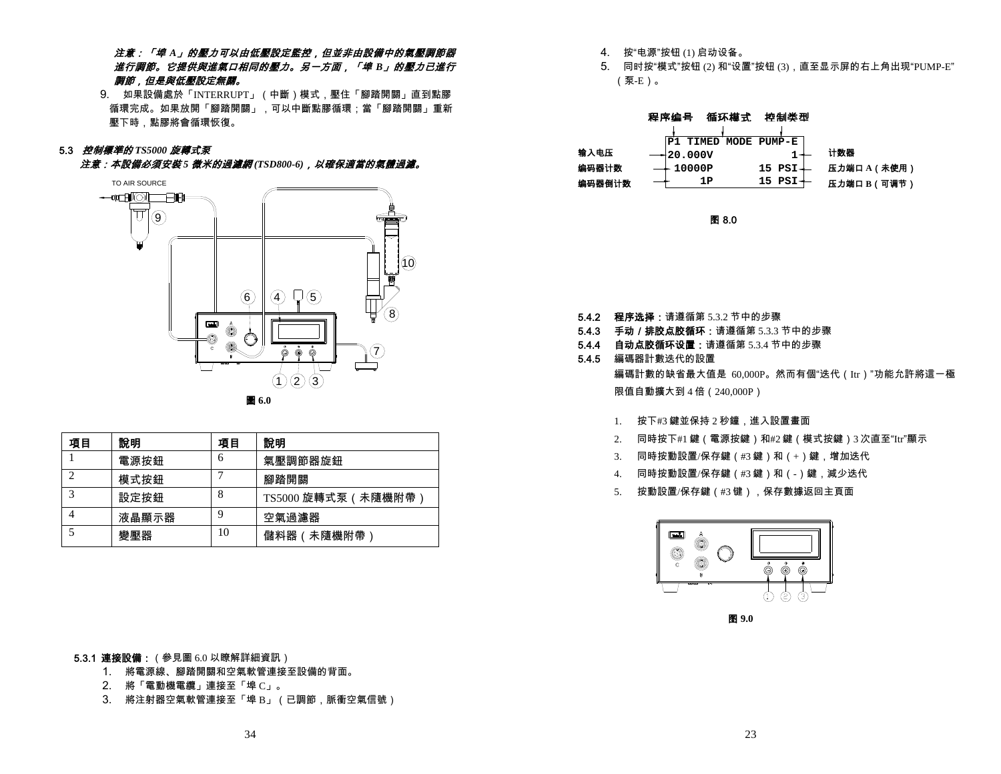# 注意:「埠 *A*」的壓力可以由低壓設定監控,但並非由設備中的氣壓調節器 進行調節。它提供與進氣口相同的壓力。另一方面,「埠 *B*」的壓力已進行 調節,但是與低壓設定無關。

9. 如果設備處於「INTERRUPT」(中斷)模式,壓住「腳踏開關」直到點膠 循環完成。如果放開「腳踏開關」,可以中斷點膠循環;當「腳踏開關」重新 壓下時,點膠將會循環恢復。

#### 5.3 控制標準的 *TS5000* 旋轉式泵

注意:本設備必須安裝 *5* 微米的過濾網 *(TSD800-6)*,以確保適當的氣體過濾。





| 項目                | 說明    | 項目 | 說明                  |
|-------------------|-------|----|---------------------|
|                   | 電源按鈕  | 6  | 氣壓調節器旋鈕             |
| ◠                 | 模式按鈕  |    | 腳踏開關                |
| $\mathbf{\Omega}$ | 設定按鈕  | 8  | TS5000 旋轉式泵 ( 未隨機附帶 |
|                   | 液晶顯示器 |    | 空氣過濾器               |
|                   | 變壓器   | 10 | 儲料器(未隨機附帶)          |

**5.3.1 連接設備:**(參見圖 6.0 以瞭解詳細資訊)

- 1. 將電源線、腳踏開關和空氣軟管連接至設備的背面。
- 2. 將「電動機電纜」連接至「埠 C」。
- 3. 將注射器空氣軟管連接至「埠 B」(已調節,脈衝空氣信號)
- 4. 按"电源"按钮 (1) 启动设备。
- 5. 同时按"模式"按钮 (2) 和"设置"按钮 (3),直至显示屏的右上角出现"PUMP-E" (泵-E)。

|        | 循环模式<br>程序编号         | 控制类型                   |              |
|--------|----------------------|------------------------|--------------|
|        | P1 TIMED MODE PUMP-E |                        |              |
| 输入电压   | $+20.000V$           |                        | 计数器          |
| 编码器计数  | $\rightarrow$ 10000P | $15$ PSI $\rightarrow$ | 压力端口 A (未使用) |
| 编码器倒计数 | 1Р                   | $15$ PSI $+$           | 压力端口 B (可调节) |

图 8.0

- **5.4.2 程序选择:**请遵循第 5.3.2 节中的步骤
- **5.4.3 手动/排胶点胶循环:**请遵循第 5.3.3 节中的步骤
- **5.4.4 自动点胶循环设置:**请遵循第 5.3.4 节中的步骤
- 5.4.5 編碼器計數迭代的設置 編碼計數的缺省最大值是 60,000P。然而有個"迭代(Itr)"功能允許將這一極 限值自動擴大到 4 倍(240,000P)
	- 1. 按下#3 鍵並保持 <sup>2</sup> 秒鐘,進入設置畫面
	- 2. 同時按下#1 鍵(電源按鍵)和#2 鍵(模式按鍵)<sup>3</sup> 次直至"Itr"顯示
	- 3. 同時按動設置/保存鍵(#3 鍵)和(+)鍵,增加迭代
	- 4. 同時按動設置/保存鍵(#3 鍵)和(-)鍵,減少迭代
	- 5. 按動設置/保存鍵(#3 键),保存數據返回主頁面



图 **9.0**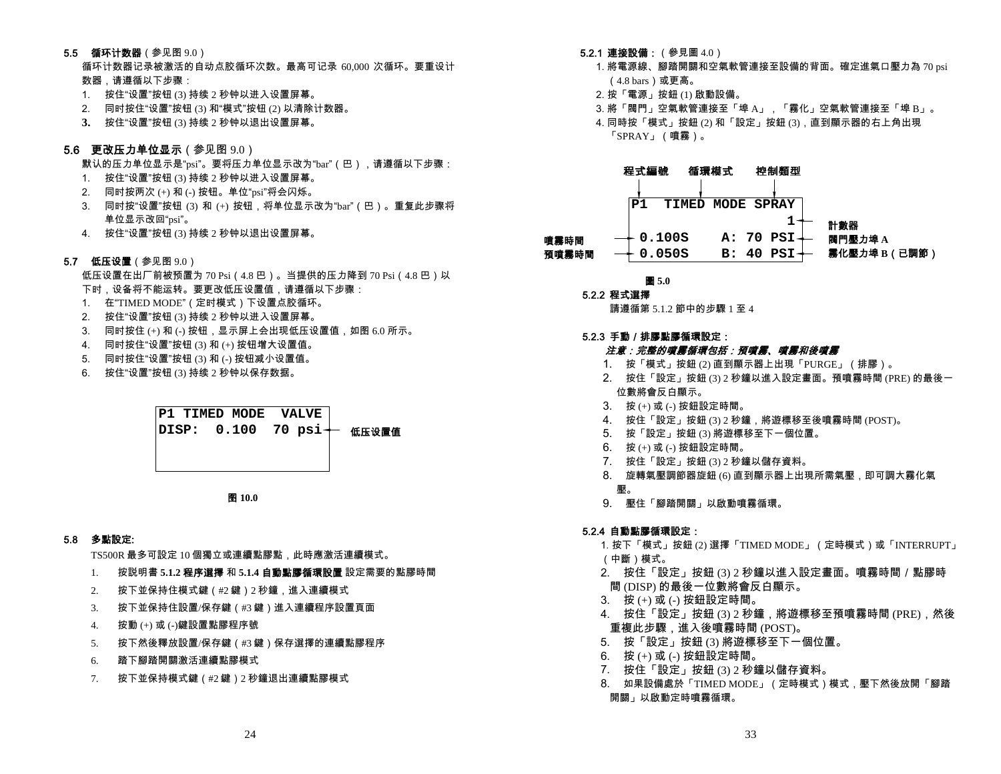### **5.5 循环计数器**(参见图 9.0)

循环计数器记录被激活的自动点胶循环次数。最高可记录 60,000 次循环。要重设计 数器,请遵循以下步骤:

- 1. 按住"设置"按钮 (3) 持续 2 秒钟以进入设置屏幕。
- 2. 同时按住"设置"按钮 (3) 和"模式"按钮 (2) 以清除计数器。
- **3.** 按住"设置"按钮 (3) 持续 2 秒钟以退出设置屏幕。

# **5.6 更改压力单位显示**(参见图 9.0)

默认的压力单位显示是"psi"。要将压力单位显示改为"bar"(巴),请遵循以下步骤:

- 1. 按住"设置"按钮 (3) 持续 2 秒钟以进入设置屏幕。
- 2. 同时按两次 (+) 和 (-) 按钮。单位"psi"将会闪烁。
- 3. 同时按"设置"按钮 (3) 和 (+) 按钮,将单位显示改为"bar"(巴)。重复此步骤将 单位显示改回"psi"。
- 4. 按住"设置"按钮 (3) 持续 2 秒钟以退出设置屏幕。
- **5.7 低压设置**(参见图 9.0)

低压设置在出厂前被预置为 70 Psi (4.8 巴)。当提供的压力降到 70 Psi (4.8 巴)以 下时,设备将不能运转。要更改低压设置值,请遵循以下步骤:

- 1. 在"TIMED MODE"(定时模式)下设置点胶循环。
- 2. 按住"设置"按钮 (3) 持续 2 秒钟以进入设置屏幕。
- 3. 同时按住 (+) 和 (-) 按钮,显示屏上会出现低压设置值,如图 6.0 所示。
- 4. 同时按住"设置"按钮 (3) 和 (+) 按钮增大设置值。
- 5. 同时按住"设置"按钮 (3) 和 (-) 按钮减小设置值。
- 6. 按住"设置"按钮 (3) 持续 2 秒钟以保存数据。



图 **10.0** 

# 5.8 多點設定:

TS500R 最多可設定 <sup>10</sup> 個獨立或連續點膠點,此時應激活連續模式。

- 1. 按説明書 **5.1.2** 程序選擇 和 **5.1.4** 自動點膠循環設置 設定需要的點膠時間
- 2. 按下並保持住模式鍵(#2 鍵)<sup>2</sup> 秒鐘,進入連續模式
- 3. 按下並保持住設置/保存鍵(#3 鍵)進入連續程序設置頁面
- 4. 按動 (+) 或 (-)鍵設置點膠程序號
- 5. 按下然後釋放設置/保存鍵(#3 鍵)保存選擇的連續點膠程序
- 6.踏下腳踏開關激活連續點膠模式
- 7. 按下並保持模式鍵(#2 鍵)<sup>2</sup> 秒鐘退出連續點膠模式
- **5.2.1 連接設備:**(參見圖 4.0)
	- 1. 將電源線、腳踏開關和空氣軟管連接至設備的背面。確定進氣口壓力為 70 psi  $(4.8 \text{ bars})$ 或更高。
	- 2. 按「電源」按鈕 (1) 啟動設備。
	- 3. 將「閥門」空氣軟管連接至「埠 A」,「霧化」空氣軟管連接至「埠 B」。
	- 4. 同時按「模式」按鈕 (2) 和「設定」按鈕 (3),直到顯示器的右上角出現 「SPRAY」(噴霧)。



# 圖 **5.0**

5.2.2 程式選擇

請遵循第 5.1.2 節中的步驟 1 至 4

# 5.2.3 手動/排膠點膠循環設定:

# 注意:完整的噴霧循環包括:預噴霧、噴霧和後噴霧

- 1. 按「模式」按鈕 (2) 直到顯示器上出現「PURGE」(排膠)。
- 2. 按住「設定」按鈕 (3) 2 秒鐘以進入設定畫面。預噴霧時間 (PRE) 的最後一 位數將會反白顯示。
- 3.按 (+) 或 (-) 按鈕設定時間。
- 4. 按住「設定」按鈕 (3) 2 秒鐘,將遊標移至後噴霧時間 (POST)。
- 5. 按「設定」按鈕 (3) 將遊標移至下一個位置。
- 6.按 (+) 或 (-) 按鈕設定時間。
- 7. 按住「設定」按鈕 (3) 2 秒鐘以儲存資料。
- 8. 旋轉氣壓調節器旋鈕 (6) 直到顯示器上出現所需氣壓,即可調大霧化氣 壓。
- 9. 壓住「腳踏開關」以啟動噴霧循環。

# 5.2.4 自動點膠循環設定:

1. 按下「模式」按鈕 (2) 選擇「TIMED MODE」(定時模式)或「INTERRUPT」 (中斷)模式。

- 2. 按住「設定」按鈕 (3) 2 秒鐘以進入設定畫面。噴霧時間/點膠時 間 (DISP) 的最後一位數將會反白顯示。
- 3.按 (+) 或 (-) 按鈕設定時間。
- 4. 按住「設定」按鈕 (3) 2 秒鐘,將遊標移至預噴霧時間 (PRE),然後 重複此步驟,進入後噴霧時間 (POST)。
- 5. 按「設定」按鈕 (3) 將遊標移至下一個位置。
- 6. 按 (+) 或 (-) 按鈕設定時間。
- 7. 按住「設定」按鈕 (3) 2 秒鐘以儲存資料。
- 8. 如果設備處於「TIMED MODE」(定時模式)模式,壓下然後放開「腳踏 開關」以啟動定時噴霧循環。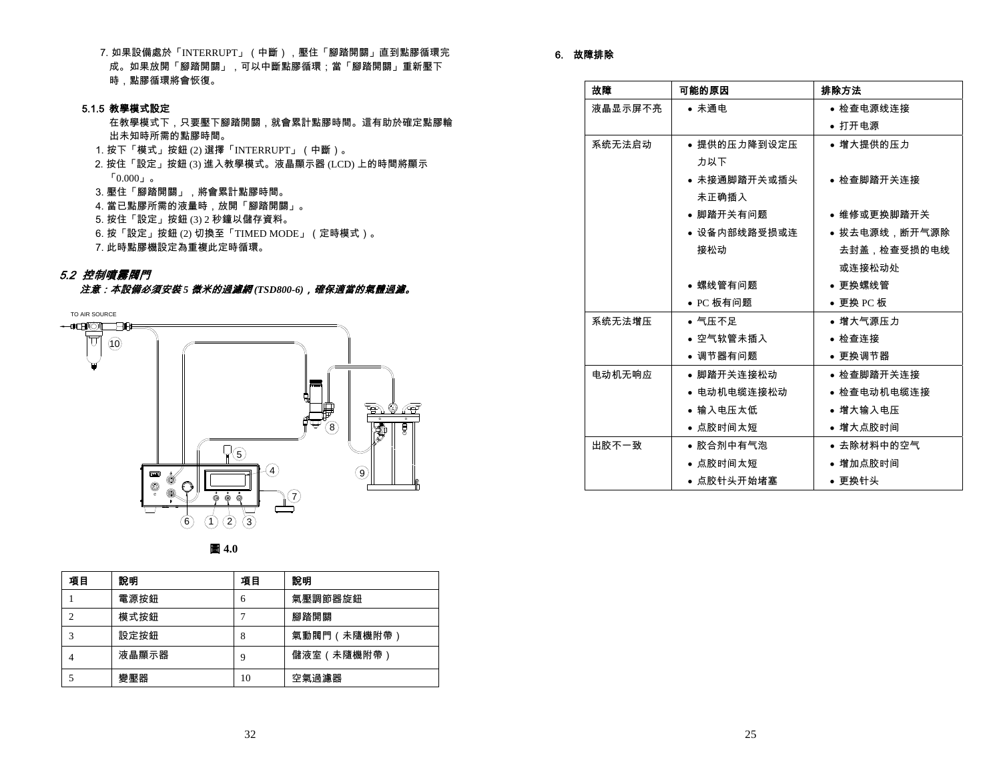7. 如果設備處於「INTERRUPT」(中斷),壓住「腳踏開關」直到點膠循環完 成。如果放開「腳踏開關」,可以中斷點膠循環;當「腳踏開關」重新壓下 時,點膠循環將會恢復。

### 5.1.5 教學模式設定

在教學模式下,只要壓下腳踏開關,就會累計點膠時間。這有助於確定點膠輸 出未知時所需的點膠時間。

- 1. 按下「模式」按鈕 (2) 選擇「INTERRUPT」(中斷)。
- 2. 按住「設定」按鈕 (3) 進入教學模式。液晶顯示器 (LCD) 上的時間將顯示  $0.000<sub>1.9</sub>$
- 3. 壓住「腳踏開關」,將會累計點膠時間。
- 4. 當已點膠所需的液量時,放開「腳踏開關」。
- 5. 按住「設定」按鈕 (3) 2 秒鐘以儲存資料。
- 6. 按「設定」按鈕 (2) 切換至「TIMED MODE」(定時模式)。
- 7. 此時點膠機設定為重複此定時循環。

### 5.2 控制噴霧閥門

## 注意:本設備必須安裝 *5* 微米的過濾網 *(TSD800-6)*,確保適當的氣體過濾。





| 項目 | 說明    | 項目 | 說明          |
|----|-------|----|-------------|
|    | 電源按鈕  | 6  | 氣壓調節器旋鈕     |
| 2  | 模式按鈕  |    | 腳踏開關        |
| 3  | 設定按鈕  | 8  | 氣動閥門(未隨機附帶) |
| 4  | 液晶顯示器 | 9  | 儲液室(未隨機附帶)  |
|    | 變壓器   | 10 | 空氣過濾器       |

# 6. 故障排除

| 故障      | 可能的原因        | 排除方法          |
|---------|--------------|---------------|
| 液晶显示屏不亮 | • 未通电        | ● 检查电源线连接     |
|         |              | • 打开电源        |
| 系统无法启动  | ● 提供的压力降到设定压 | ● 增大提供的压力     |
|         | 力以下          |               |
|         | ● 未接通脚踏开关或插头 | ● 检查脚踏开关连接    |
|         | 未正确插入        |               |
|         | ● 脚踏开关有问题    | ● 维修或更换脚踏开关   |
|         | ● 设备内部线路受损或连 | ● 拔去电源线.断开气源除 |
|         | 接松动          | 去封盖,检查受损的电线   |
|         |              | 或连接松动处        |
|         | ● 螺线管有问题     | ● 更换螺线管       |
|         | ● PC 板有问题    | ● 更换 PC 板     |
| 系统无法增压  | • 气压不足       | ● 增大气源压力      |
|         | ● 空气软管未插入    | ● 检查连接        |
|         | ● 调节器有问题     | ● 更换调节器       |
| 电动机无响应  | ● 脚踏开关连接松动   | ● 检查脚踏开关连接    |
|         | ● 电动机电缆连接松动  | ● 检查电动机电缆连接   |
|         | ● 输入电压太低     | • 增大输入电压      |
|         | ● 点胶时间太短     | ● 增大点胶时间      |
| 出胶不一致   | ● 胶合剂中有气泡    | ● 去除材料中的空气    |
|         | ● 点胶时间太短     | ● 增加点胶时间      |
|         | ● 点胶针头开始堵塞   | ● 更换针头        |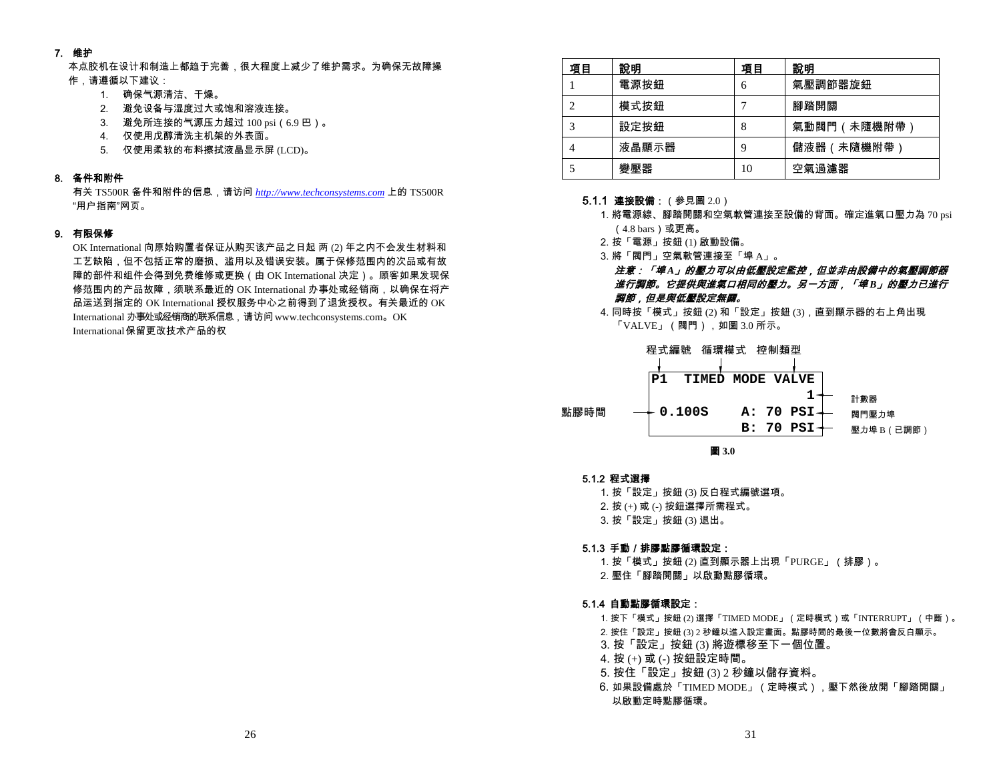# 7. 维护

本点胶机在设计和制造上都趋于完善,很大程度上减少了维护需求。为确保无故障操 作,请遵循以下建议:

- 1. 确保气源清洁、干燥。
- 2. 避免设备与湿度过大或饱和溶液连接。
- 3. 避免所连接的气源压力超过 100 psi(6.9 巴)。
- 4. 仅使用戊醇清洗主机架的外表面。
- 5. 仅使用柔软的布料擦拭液晶显示屏 (LCD)。

# 8. 备件和附件

有关 TS500R 备件和附件的信息,请访问 *http://www.techconsystems.com* 上的 TS500R "用户指南"网页。

### 9. 有限保修

OK International 向原始购置者保证从购买该产品之日起 两 (2) 年之内不会发生材料和 工艺缺陷,但不包括正常的磨损、滥用以及错误安装。属于保修范围内的次品或有故 障的部件和组件会得到免费维修或更换(由 OK International 决定)。顾客如果发现保 修范围内的产品故障,须联系最近的 OK International 办事处或经销商,以确保在将产 品运送到指定的 OK International 授权服务中心之前得到了退货授权。有关最近的 OK International 办事处或经销商的联系信息,请访问 www.techconsystems.com。OK International 保留更改技术产品的权

| 項目             | 說明    | 項目 | 說明          |
|----------------|-------|----|-------------|
|                | 電源按鈕  | 6  | 氣壓調節器旋鈕     |
| 2              | 模式按鈕  |    | 腳踏開關        |
|                | 設定按鈕  | 8  | 氣動閥門(未隨機附帶  |
| $\overline{4}$ | 液晶顯示器 | 9  | 儲液器 (未隨機附帶) |
|                | 變壓器   | 10 | 空氣過濾器       |

### **5.1.1 連接設備:**(參見圖 2.0)

1. 將電源線、腳踏開關和空氣軟管連接至設備的背面。確定進氣口壓力為 70 psi (4.8 bars)或更高。

- 2. 按「電源」按鈕 (1) 啟動設備。
- 3. 將「閥門」空氣軟管連接至「埠 A」。

# 注意:「埠 *A*」的壓力可以由低壓設定監控,但並非由設備中的氣壓調節器 *進行調節。它提供與進氣口相同的壓力。另一方面,「埠B」的壓力已進行* 調節,但是與低壓設定無關。

4. 同時按「模式」按鈕 (2) 和「設定」按鈕 (3),直到顯示器的右上角出現  $\sqrt{\text{VALVE}}$ 」(閥門),如圖 3.0 所示。

程式編號 循環模式 控制類型



### 5.1.2 程式選擇

1. 按「設定」按鈕 (3) 反白程式編號選項。

2. 按 (+) 或 (-) 按鈕選擇所需程式。

3. 按「設定」按鈕 (3) 退出。

# 5.1.3 手動/排膠點膠循環設定:

1. 按「模式」按鈕 (2) 直到顯示器上出現「PURGE」(排膠)。

2. 壓住「腳踏開關」以啟動點膠循環。

### 5.1.4 自動點膠循環設定:

1. 按下「模式」按鈕 (2) 選擇「TIMED MODE」(定時模式)或「INTERRUPT」(中斷)。

- 2. 按住「設定」按鈕 (3) 2 秒鐘以進入設定畫面。點膠時間的最後一位數將會反白顯示。
- 3. 按「設定」按鈕 (3) 將遊標移至下一個位置。
- 4. 按 (+) 或 (-) 按鈕設定時間。
- 5. 按住「設定」按鈕 (3) 2 秒鐘以儲存資料。
- 6. 如果設備處於「TIMED MODE」(定時模式),壓下然後放開「腳踏開關」 以啟動定時點膠循環。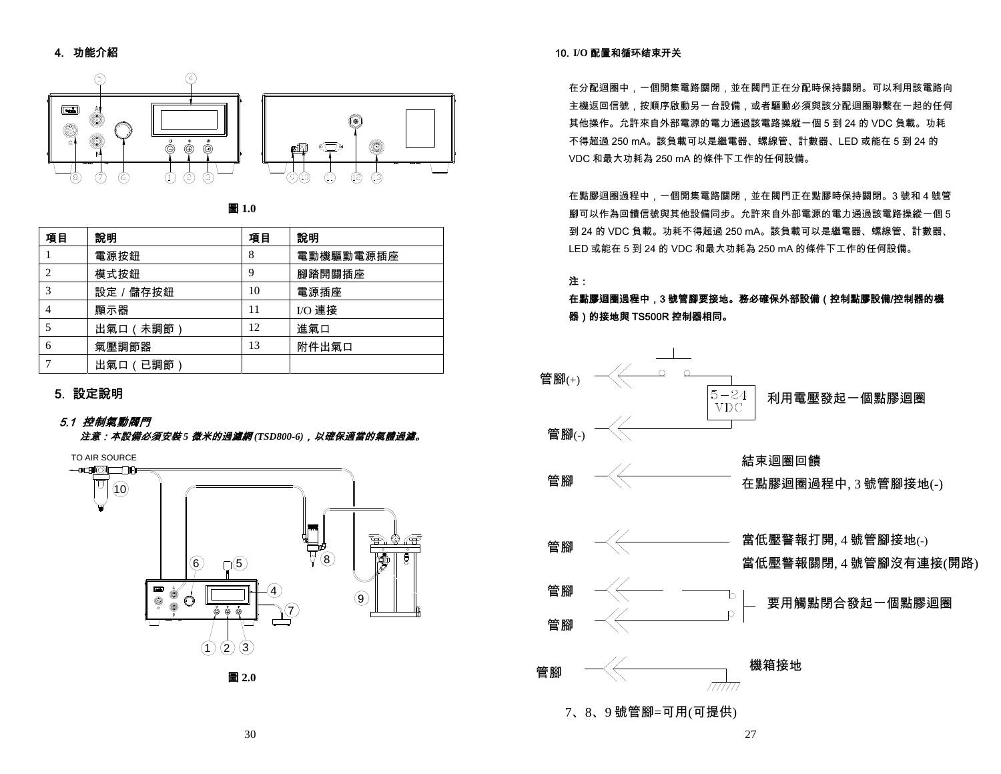# 4. 功能介紹





| 項目             | 說明        | 項目 | 說明        |
|----------------|-----------|----|-----------|
|                | 電源按鈕      | 8  | 電動機驅動電源插座 |
| 2              | 模式按鈕      | 9  | 腳踏開關插座    |
| 3              | 設定 / 儲存按鈕 | 10 | 電源插座      |
| $\overline{4}$ | 顯示器       | 11 | I/O 連接    |
|                | 出氣口 (未調節) | 12 | 進氣口       |
| 6              | 氣壓調節器     | 13 | 附件出氣口     |
|                | 出氣口 (已調節) |    |           |

# 5. 設定說明

# 5.1 控制氣動閥門

注意:本設備必須安裝 *5* 微米的過濾網 *(TSD800-6)*,以確保適當的氣體過濾。



### 10. **I/O** 配置和循环结束开关

在分配迴圈中,一個開集電路關閉,並在閥門正在分配時保持關閉。可以利用該電路向 主機返回信號,按順序啟動另一台設備,或者驅動必須與該分配迴圈聯繫在一起的任何 其他操作。允許來自外部電源的電力通過該電路操縱一個 5 到 24 的 VDC 負載。功耗 不得超過 250 mA。該負載可以是繼電器、螺線管、計數器、LED 或能在 5 到 24 的 VDC 和最大功耗為 250 mA 的條件下工作的任何設備。

在點膠迴圈過程中,一個開集電路關閉,並在閥門正在點膠時保持關閉。3 號和 4 號管 腳可以作為回饋信號與其他設備同步。允許來自外部電源的電力通過該電路操縱一個 5 到 24 的 VDC 負載。功耗不得超過 250 mA。該負載可以是繼電器、螺線管、計數器、 LED 或能在 5 到 24 的 VDC 和最大功耗為 250 mA 的條件下工作的任何設備。

注:

在點膠迴圈過程中,3 號管腳要接地。務必確保外部設備(控制點膠設備/控制器的機 器)的接地與 TS500R 控制器相同。